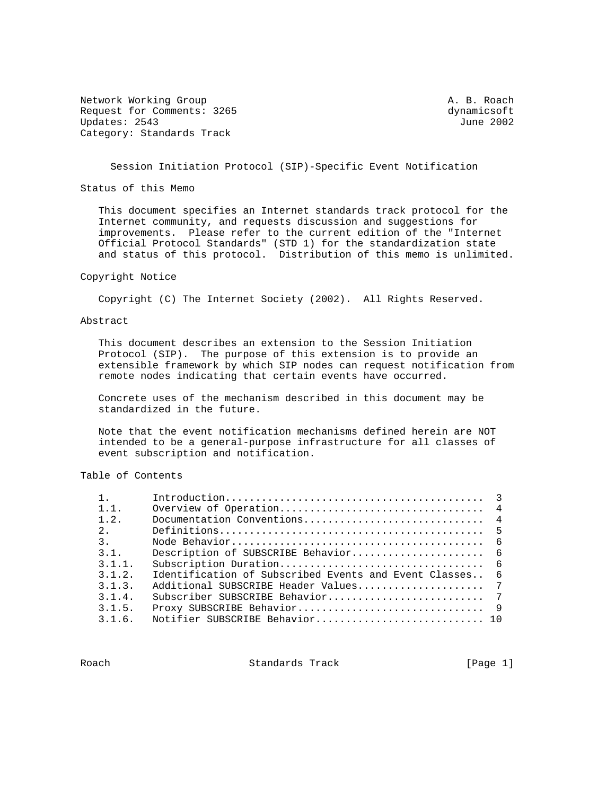Network Working Group and the set of the set of the set of the set of the set of the set of the set of the set of the set of the set of the set of the set of the set of the set of the set of the set of the set of the set o Request for Comments: 3265 dynamicsoft dynamicsoft dynamicsoft dynamicsoft dynamicsoft dynamicsoft dynamicsoft dynamicsoft dynamicsoft dynamicsoft dynamicsoft dynamicsoft dynamicsoft dynamicsoft dynamicsoft dynamicsoft dyn Updates: 2543 Category: Standards Track

Session Initiation Protocol (SIP)-Specific Event Notification

Status of this Memo

 This document specifies an Internet standards track protocol for the Internet community, and requests discussion and suggestions for improvements. Please refer to the current edition of the "Internet Official Protocol Standards" (STD 1) for the standardization state and status of this protocol. Distribution of this memo is unlimited.

## Copyright Notice

Copyright (C) The Internet Society (2002). All Rights Reserved.

## Abstract

 This document describes an extension to the Session Initiation Protocol (SIP). The purpose of this extension is to provide an extensible framework by which SIP nodes can request notification from remote nodes indicating that certain events have occurred.

 Concrete uses of the mechanism described in this document may be standardized in the future.

 Note that the event notification mechanisms defined herein are NOT intended to be a general-purpose infrastructure for all classes of event subscription and notification.

# Table of Contents

| 1.1.           |                                                              |
|----------------|--------------------------------------------------------------|
| 1.2.           |                                                              |
| $2^{\circ}$    |                                                              |
| 3 <sub>1</sub> |                                                              |
| 3.1.           |                                                              |
| 3.1.1.         |                                                              |
| 3.1.2.         | Identification of Subscribed Events and Event Classes<br>- 6 |
| 3.1.3.         |                                                              |
| 3.1.4.         |                                                              |
| 3.1.5.         |                                                              |
| 3.1.6.         |                                                              |

Roach **Standards Track** [Page 1]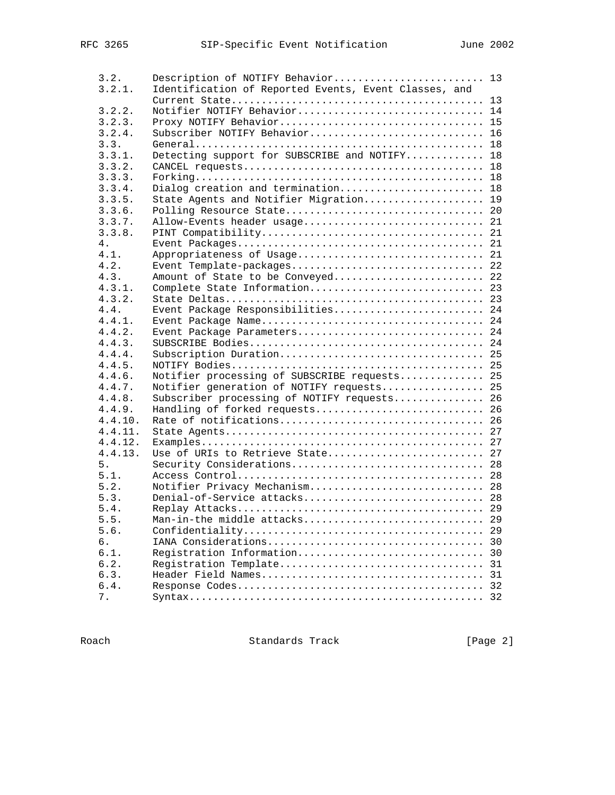| 3.2.    | Description of NOTIFY Behavior 13                     |    |
|---------|-------------------------------------------------------|----|
| 3.2.1.  | Identification of Reported Events, Event Classes, and |    |
|         |                                                       |    |
| 3.2.2.  | Notifier NOTIFY Behavior 14                           |    |
| 3.2.3.  |                                                       |    |
| 3.2.4.  | Subscriber NOTIFY Behavior 16                         |    |
| 3.3.    |                                                       |    |
| 3.3.1.  | Detecting support for SUBSCRIBE and NOTIFY 18         |    |
| 3.3.2.  |                                                       |    |
| 3.3.3.  |                                                       |    |
| 3.3.4.  | Dialog creation and termination 18                    |    |
| 3.3.5.  | State Agents and Notifier Migration 19                |    |
| 3.3.6.  |                                                       |    |
| 3.3.7.  | Allow-Events header usage 21                          |    |
| 3.3.8.  |                                                       |    |
| 4.      |                                                       |    |
| 4.1.    | Appropriateness of Usage 21                           |    |
| 4.2.    | Event Template-packages 22                            |    |
| 4.3.    | Amount of State to be Conveyed 22                     |    |
| 4.3.1.  | Complete State Information 23                         |    |
| 4.3.2.  |                                                       |    |
| 4.4.    | Event Package Responsibilities 24                     |    |
| 4.4.1.  |                                                       |    |
| 4.4.2.  | Event Package Parameters 24                           |    |
| 4.4.3.  |                                                       |    |
| 4.4.4.  |                                                       |    |
| 4.4.5.  |                                                       |    |
| 4.4.6.  | Notifier processing of SUBSCRIBE requests 25          |    |
| 4.4.7.  | Notifier generation of NOTIFY requests 25             |    |
| 4.4.8.  | Subscriber processing of NOTIFY requests 26           |    |
| 4.4.9.  | Handling of forked requests 26                        |    |
| 4.4.10. |                                                       |    |
| 4.4.11. |                                                       |    |
| 4.4.12. |                                                       |    |
| 4.4.13. | Use of URIs to Retrieve State 27                      |    |
| 5.      |                                                       |    |
| 5.1.    |                                                       |    |
| 5.2.    | Notifier Privacy Mechanism 28                         |    |
| 5.3.    |                                                       |    |
| 5.4.    |                                                       |    |
| 5.5.    | Man-in-the middle attacks 29                          |    |
| 5.6.    |                                                       |    |
| б.      |                                                       | 29 |
| 6.1.    |                                                       | 30 |
|         | Registration Information                              | 30 |
| 6.2.    | Registration Template                                 | 31 |
| 6.3.    |                                                       |    |
| 6.4.    |                                                       | 32 |
| 7.      |                                                       | 32 |

Roach Standards Track [Page 2]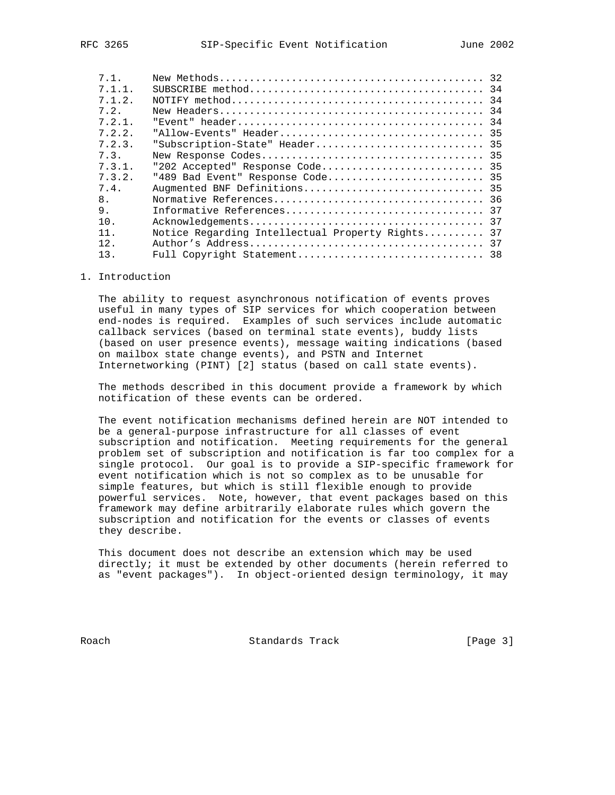| 7 1       |                                                  |  |
|-----------|--------------------------------------------------|--|
| $7.1.1$ . |                                                  |  |
| 7.1.2.    |                                                  |  |
| 7.2.      |                                                  |  |
| 7.2.1.    |                                                  |  |
| 7.2.2.    |                                                  |  |
| 7.2.3.    | "Subscription-State" Header 35                   |  |
| 7.3.      |                                                  |  |
| 7.3.1.    | "202 Accepted" Response Code 35                  |  |
| 7.3.2.    | "489 Bad Event" Response Code 35                 |  |
| 7.4.      |                                                  |  |
| 8.        |                                                  |  |
| 9.        |                                                  |  |
| 10.       |                                                  |  |
| 11        | Notice Regarding Intellectual Property Rights 37 |  |
| 12.       |                                                  |  |
| 13.       |                                                  |  |
|           |                                                  |  |

## 1. Introduction

 The ability to request asynchronous notification of events proves useful in many types of SIP services for which cooperation between end-nodes is required. Examples of such services include automatic callback services (based on terminal state events), buddy lists (based on user presence events), message waiting indications (based on mailbox state change events), and PSTN and Internet Internetworking (PINT) [2] status (based on call state events).

 The methods described in this document provide a framework by which notification of these events can be ordered.

 The event notification mechanisms defined herein are NOT intended to be a general-purpose infrastructure for all classes of event subscription and notification. Meeting requirements for the general problem set of subscription and notification is far too complex for a single protocol. Our goal is to provide a SIP-specific framework for event notification which is not so complex as to be unusable for simple features, but which is still flexible enough to provide powerful services. Note, however, that event packages based on this framework may define arbitrarily elaborate rules which govern the subscription and notification for the events or classes of events they describe.

 This document does not describe an extension which may be used directly; it must be extended by other documents (herein referred to as "event packages"). In object-oriented design terminology, it may

Roach **Standards Track** [Page 3]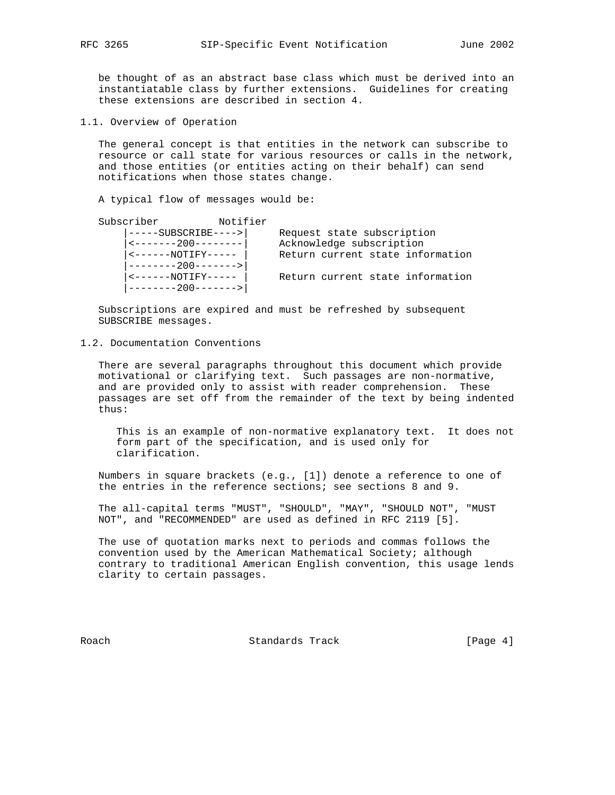be thought of as an abstract base class which must be derived into an instantiatable class by further extensions. Guidelines for creating these extensions are described in section 4.

1.1. Overview of Operation

 The general concept is that entities in the network can subscribe to resource or call state for various resources or calls in the network, and those entities (or entities acting on their behalf) can send notifications when those states change.

A typical flow of messages would be:

| Subscriber                                                                                                                                                                                                                                                                                                                                                                                                                                                                                                                                | Notifier |                            |                                  |
|-------------------------------------------------------------------------------------------------------------------------------------------------------------------------------------------------------------------------------------------------------------------------------------------------------------------------------------------------------------------------------------------------------------------------------------------------------------------------------------------------------------------------------------------|----------|----------------------------|----------------------------------|
| $---SUBSCRIBE--->$                                                                                                                                                                                                                                                                                                                                                                                                                                                                                                                        |          | Request state subscription |                                  |
| $\vert$ <-------200-------- $\vert$                                                                                                                                                                                                                                                                                                                                                                                                                                                                                                       |          | Acknowledge subscription   |                                  |
| $\boxed{ < \texttt{---} \texttt{---} \texttt{NOTIFY} \texttt{---} \texttt{---}$                                                                                                                                                                                                                                                                                                                                                                                                                                                           |          |                            | Return current state information |
| --------200------->                                                                                                                                                                                                                                                                                                                                                                                                                                                                                                                       |          |                            |                                  |
| $\mbox{\large\it <}\mbox{\large\it --}\mbox{\large\it --}\mbox{\large\it --}\mbox{\large\it --}\mbox{\large\it --}\mbox{\large\it --}\mbox{\large\it --}\mbox{\large\it --}\mbox{\large\it --}\mbox{\large\it --}\mbox{\large\it --}\mbox{\large\it --}\mbox{\large\it --}\mbox{\large\it --}\mbox{\large\it --}\mbox{\large\it --}\mbox{\large\it --}\mbox{\large\it --}\mbox{\large\it --}\mbox{\large\it --}\mbox{\large\it --}\mbox{\large\it --}\mbox{\large\it --}\mbox{\large\it --}\mbox{\large\it --}\mbox{\large\it --}\mbox{\$ |          |                            | Return current state information |
| $------200------>$                                                                                                                                                                                                                                                                                                                                                                                                                                                                                                                        |          |                            |                                  |

 Subscriptions are expired and must be refreshed by subsequent SUBSCRIBE messages.

#### 1.2. Documentation Conventions

 There are several paragraphs throughout this document which provide motivational or clarifying text. Such passages are non-normative, and are provided only to assist with reader comprehension. These passages are set off from the remainder of the text by being indented thus:

 This is an example of non-normative explanatory text. It does not form part of the specification, and is used only for clarification.

 Numbers in square brackets (e.g., [1]) denote a reference to one of the entries in the reference sections; see sections 8 and 9.

 The all-capital terms "MUST", "SHOULD", "MAY", "SHOULD NOT", "MUST NOT", and "RECOMMENDED" are used as defined in RFC 2119 [5].

 The use of quotation marks next to periods and commas follows the convention used by the American Mathematical Society; although contrary to traditional American English convention, this usage lends clarity to certain passages.

Roach **Standards Track** [Page 4]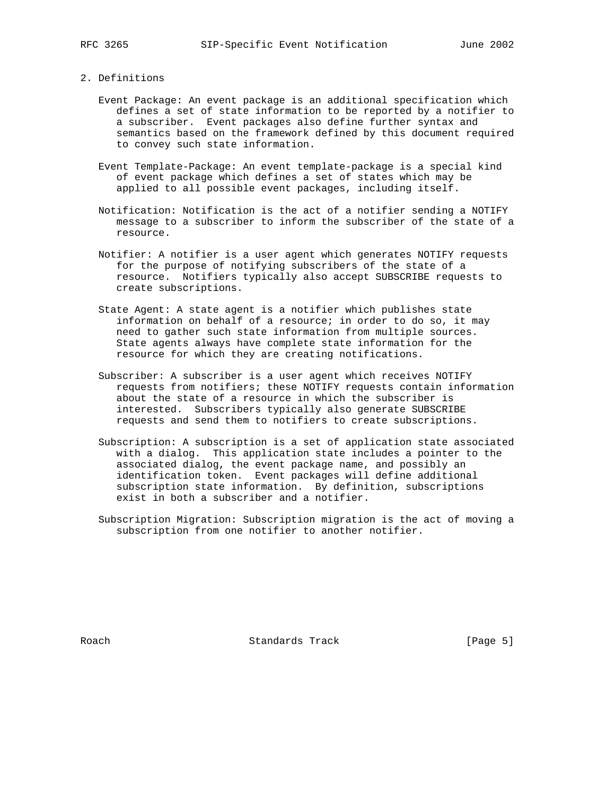#### 2. Definitions

- Event Package: An event package is an additional specification which defines a set of state information to be reported by a notifier to a subscriber. Event packages also define further syntax and semantics based on the framework defined by this document required to convey such state information.
- Event Template-Package: An event template-package is a special kind of event package which defines a set of states which may be applied to all possible event packages, including itself.
- Notification: Notification is the act of a notifier sending a NOTIFY message to a subscriber to inform the subscriber of the state of a resource.
- Notifier: A notifier is a user agent which generates NOTIFY requests for the purpose of notifying subscribers of the state of a resource. Notifiers typically also accept SUBSCRIBE requests to create subscriptions.
- State Agent: A state agent is a notifier which publishes state information on behalf of a resource; in order to do so, it may need to gather such state information from multiple sources. State agents always have complete state information for the resource for which they are creating notifications.
- Subscriber: A subscriber is a user agent which receives NOTIFY requests from notifiers; these NOTIFY requests contain information about the state of a resource in which the subscriber is interested. Subscribers typically also generate SUBSCRIBE requests and send them to notifiers to create subscriptions.
- Subscription: A subscription is a set of application state associated with a dialog. This application state includes a pointer to the associated dialog, the event package name, and possibly an identification token. Event packages will define additional subscription state information. By definition, subscriptions exist in both a subscriber and a notifier.
- Subscription Migration: Subscription migration is the act of moving a subscription from one notifier to another notifier.

Roach **Standards Track** [Page 5]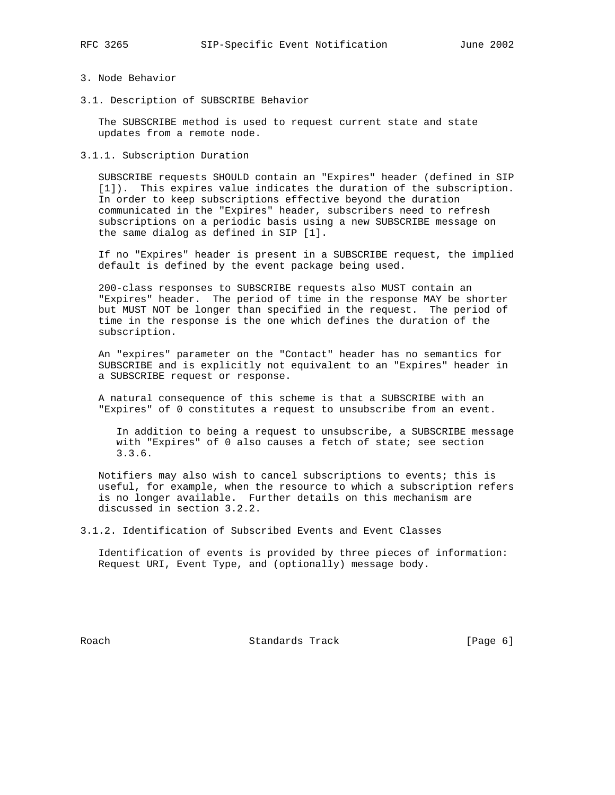# 3. Node Behavior

3.1. Description of SUBSCRIBE Behavior

 The SUBSCRIBE method is used to request current state and state updates from a remote node.

3.1.1. Subscription Duration

 SUBSCRIBE requests SHOULD contain an "Expires" header (defined in SIP [1]). This expires value indicates the duration of the subscription. In order to keep subscriptions effective beyond the duration communicated in the "Expires" header, subscribers need to refresh subscriptions on a periodic basis using a new SUBSCRIBE message on the same dialog as defined in SIP [1].

 If no "Expires" header is present in a SUBSCRIBE request, the implied default is defined by the event package being used.

 200-class responses to SUBSCRIBE requests also MUST contain an "Expires" header. The period of time in the response MAY be shorter but MUST NOT be longer than specified in the request. The period of time in the response is the one which defines the duration of the subscription.

 An "expires" parameter on the "Contact" header has no semantics for SUBSCRIBE and is explicitly not equivalent to an "Expires" header in a SUBSCRIBE request or response.

 A natural consequence of this scheme is that a SUBSCRIBE with an "Expires" of 0 constitutes a request to unsubscribe from an event.

 In addition to being a request to unsubscribe, a SUBSCRIBE message with "Expires" of 0 also causes a fetch of state; see section 3.3.6.

 Notifiers may also wish to cancel subscriptions to events; this is useful, for example, when the resource to which a subscription refers is no longer available. Further details on this mechanism are discussed in section 3.2.2.

3.1.2. Identification of Subscribed Events and Event Classes

 Identification of events is provided by three pieces of information: Request URI, Event Type, and (optionally) message body.

Roach **Standards Track** [Page 6]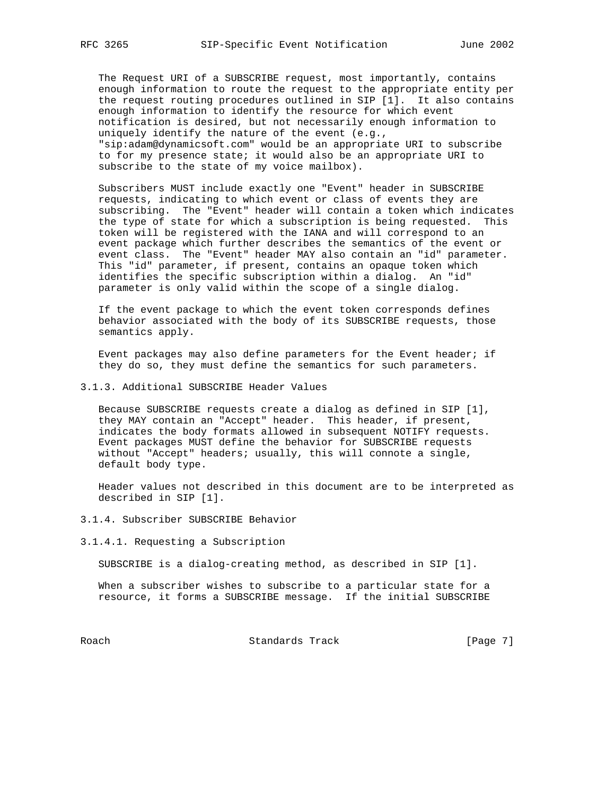The Request URI of a SUBSCRIBE request, most importantly, contains enough information to route the request to the appropriate entity per the request routing procedures outlined in SIP [1]. It also contains enough information to identify the resource for which event notification is desired, but not necessarily enough information to uniquely identify the nature of the event (e.g., "sip:adam@dynamicsoft.com" would be an appropriate URI to subscribe to for my presence state; it would also be an appropriate URI to subscribe to the state of my voice mailbox).

 Subscribers MUST include exactly one "Event" header in SUBSCRIBE requests, indicating to which event or class of events they are subscribing. The "Event" header will contain a token which indicates the type of state for which a subscription is being requested. This token will be registered with the IANA and will correspond to an event package which further describes the semantics of the event or event class. The "Event" header MAY also contain an "id" parameter. This "id" parameter, if present, contains an opaque token which identifies the specific subscription within a dialog. An "id" parameter is only valid within the scope of a single dialog.

 If the event package to which the event token corresponds defines behavior associated with the body of its SUBSCRIBE requests, those semantics apply.

 Event packages may also define parameters for the Event header; if they do so, they must define the semantics for such parameters.

# 3.1.3. Additional SUBSCRIBE Header Values

 Because SUBSCRIBE requests create a dialog as defined in SIP [1], they MAY contain an "Accept" header. This header, if present, indicates the body formats allowed in subsequent NOTIFY requests. Event packages MUST define the behavior for SUBSCRIBE requests without "Accept" headers; usually, this will connote a single, default body type.

 Header values not described in this document are to be interpreted as described in SIP [1].

3.1.4. Subscriber SUBSCRIBE Behavior

3.1.4.1. Requesting a Subscription

SUBSCRIBE is a dialog-creating method, as described in SIP [1].

 When a subscriber wishes to subscribe to a particular state for a resource, it forms a SUBSCRIBE message. If the initial SUBSCRIBE

Roach **Standards Track** [Page 7]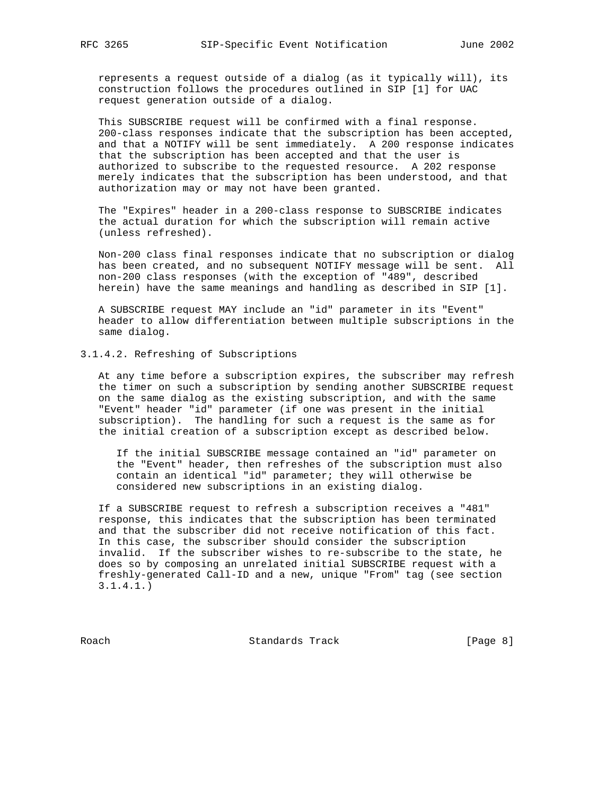represents a request outside of a dialog (as it typically will), its construction follows the procedures outlined in SIP [1] for UAC request generation outside of a dialog.

 This SUBSCRIBE request will be confirmed with a final response. 200-class responses indicate that the subscription has been accepted, and that a NOTIFY will be sent immediately. A 200 response indicates that the subscription has been accepted and that the user is authorized to subscribe to the requested resource. A 202 response merely indicates that the subscription has been understood, and that authorization may or may not have been granted.

 The "Expires" header in a 200-class response to SUBSCRIBE indicates the actual duration for which the subscription will remain active (unless refreshed).

 Non-200 class final responses indicate that no subscription or dialog has been created, and no subsequent NOTIFY message will be sent. All non-200 class responses (with the exception of "489", described herein) have the same meanings and handling as described in SIP [1].

 A SUBSCRIBE request MAY include an "id" parameter in its "Event" header to allow differentiation between multiple subscriptions in the same dialog.

## 3.1.4.2. Refreshing of Subscriptions

 At any time before a subscription expires, the subscriber may refresh the timer on such a subscription by sending another SUBSCRIBE request on the same dialog as the existing subscription, and with the same "Event" header "id" parameter (if one was present in the initial subscription). The handling for such a request is the same as for the initial creation of a subscription except as described below.

 If the initial SUBSCRIBE message contained an "id" parameter on the "Event" header, then refreshes of the subscription must also contain an identical "id" parameter; they will otherwise be considered new subscriptions in an existing dialog.

 If a SUBSCRIBE request to refresh a subscription receives a "481" response, this indicates that the subscription has been terminated and that the subscriber did not receive notification of this fact. In this case, the subscriber should consider the subscription invalid. If the subscriber wishes to re-subscribe to the state, he does so by composing an unrelated initial SUBSCRIBE request with a freshly-generated Call-ID and a new, unique "From" tag (see section 3.1.4.1.)

Roach **Standards Track** [Page 8]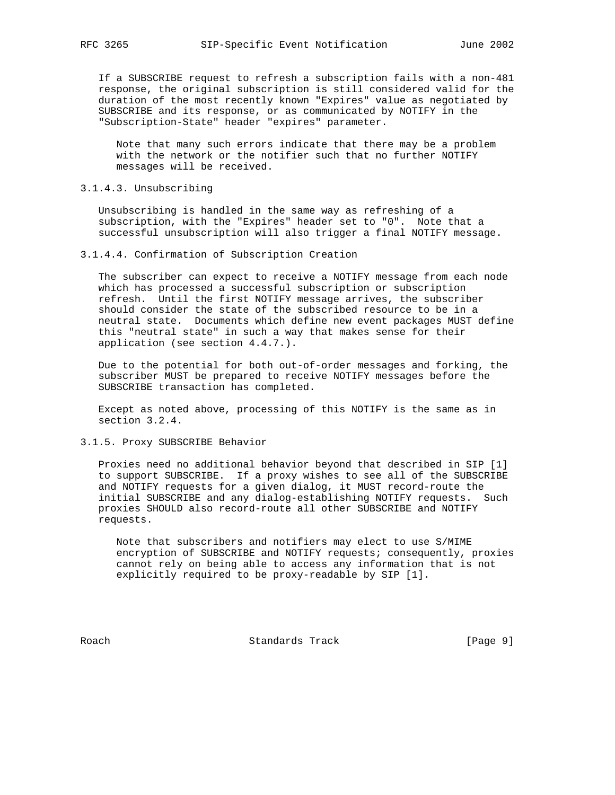If a SUBSCRIBE request to refresh a subscription fails with a non-481 response, the original subscription is still considered valid for the duration of the most recently known "Expires" value as negotiated by SUBSCRIBE and its response, or as communicated by NOTIFY in the "Subscription-State" header "expires" parameter.

 Note that many such errors indicate that there may be a problem with the network or the notifier such that no further NOTIFY messages will be received.

## 3.1.4.3. Unsubscribing

 Unsubscribing is handled in the same way as refreshing of a subscription, with the "Expires" header set to "0". Note that a successful unsubscription will also trigger a final NOTIFY message.

3.1.4.4. Confirmation of Subscription Creation

 The subscriber can expect to receive a NOTIFY message from each node which has processed a successful subscription or subscription refresh. Until the first NOTIFY message arrives, the subscriber should consider the state of the subscribed resource to be in a neutral state. Documents which define new event packages MUST define this "neutral state" in such a way that makes sense for their application (see section 4.4.7.).

 Due to the potential for both out-of-order messages and forking, the subscriber MUST be prepared to receive NOTIFY messages before the SUBSCRIBE transaction has completed.

 Except as noted above, processing of this NOTIFY is the same as in section 3.2.4.

3.1.5. Proxy SUBSCRIBE Behavior

 Proxies need no additional behavior beyond that described in SIP [1] to support SUBSCRIBE. If a proxy wishes to see all of the SUBSCRIBE and NOTIFY requests for a given dialog, it MUST record-route the initial SUBSCRIBE and any dialog-establishing NOTIFY requests. Such proxies SHOULD also record-route all other SUBSCRIBE and NOTIFY requests.

 Note that subscribers and notifiers may elect to use S/MIME encryption of SUBSCRIBE and NOTIFY requests; consequently, proxies cannot rely on being able to access any information that is not explicitly required to be proxy-readable by SIP [1].

Roach **Standards Track** [Page 9]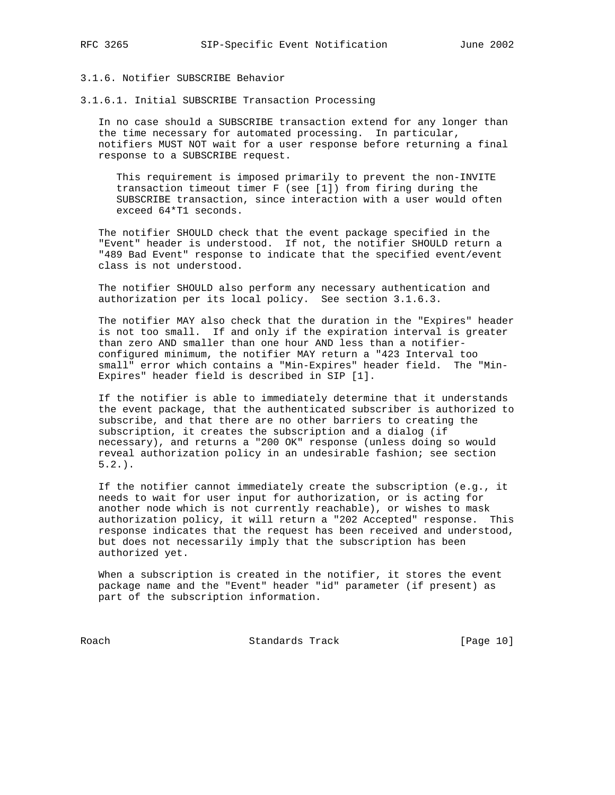# 3.1.6. Notifier SUBSCRIBE Behavior

3.1.6.1. Initial SUBSCRIBE Transaction Processing

 In no case should a SUBSCRIBE transaction extend for any longer than the time necessary for automated processing. In particular, notifiers MUST NOT wait for a user response before returning a final response to a SUBSCRIBE request.

 This requirement is imposed primarily to prevent the non-INVITE transaction timeout timer F (see [1]) from firing during the SUBSCRIBE transaction, since interaction with a user would often exceed 64\*T1 seconds.

 The notifier SHOULD check that the event package specified in the "Event" header is understood. If not, the notifier SHOULD return a "489 Bad Event" response to indicate that the specified event/event class is not understood.

 The notifier SHOULD also perform any necessary authentication and authorization per its local policy. See section 3.1.6.3.

 The notifier MAY also check that the duration in the "Expires" header is not too small. If and only if the expiration interval is greater than zero AND smaller than one hour AND less than a notifier configured minimum, the notifier MAY return a "423 Interval too small" error which contains a "Min-Expires" header field. The "Min- Expires" header field is described in SIP [1].

 If the notifier is able to immediately determine that it understands the event package, that the authenticated subscriber is authorized to subscribe, and that there are no other barriers to creating the subscription, it creates the subscription and a dialog (if necessary), and returns a "200 OK" response (unless doing so would reveal authorization policy in an undesirable fashion; see section  $5.2.$ ).

 If the notifier cannot immediately create the subscription (e.g., it needs to wait for user input for authorization, or is acting for another node which is not currently reachable), or wishes to mask authorization policy, it will return a "202 Accepted" response. This response indicates that the request has been received and understood, but does not necessarily imply that the subscription has been authorized yet.

 When a subscription is created in the notifier, it stores the event package name and the "Event" header "id" parameter (if present) as part of the subscription information.

Roach Standards Track [Page 10]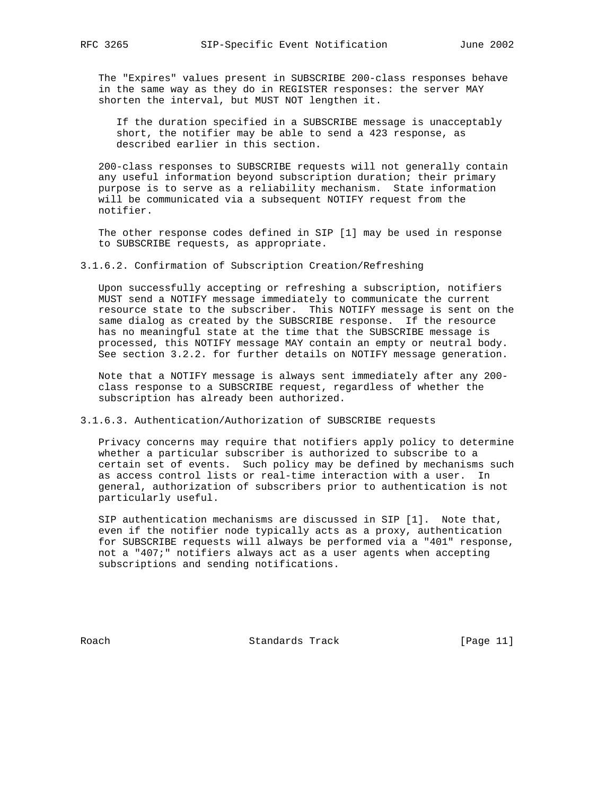The "Expires" values present in SUBSCRIBE 200-class responses behave in the same way as they do in REGISTER responses: the server MAY shorten the interval, but MUST NOT lengthen it.

 If the duration specified in a SUBSCRIBE message is unacceptably short, the notifier may be able to send a 423 response, as described earlier in this section.

 200-class responses to SUBSCRIBE requests will not generally contain any useful information beyond subscription duration; their primary purpose is to serve as a reliability mechanism. State information will be communicated via a subsequent NOTIFY request from the notifier.

 The other response codes defined in SIP [1] may be used in response to SUBSCRIBE requests, as appropriate.

3.1.6.2. Confirmation of Subscription Creation/Refreshing

 Upon successfully accepting or refreshing a subscription, notifiers MUST send a NOTIFY message immediately to communicate the current resource state to the subscriber. This NOTIFY message is sent on the same dialog as created by the SUBSCRIBE response. If the resource has no meaningful state at the time that the SUBSCRIBE message is processed, this NOTIFY message MAY contain an empty or neutral body. See section 3.2.2. for further details on NOTIFY message generation.

 Note that a NOTIFY message is always sent immediately after any 200 class response to a SUBSCRIBE request, regardless of whether the subscription has already been authorized.

3.1.6.3. Authentication/Authorization of SUBSCRIBE requests

 Privacy concerns may require that notifiers apply policy to determine whether a particular subscriber is authorized to subscribe to a certain set of events. Such policy may be defined by mechanisms such as access control lists or real-time interaction with a user. In general, authorization of subscribers prior to authentication is not particularly useful.

 SIP authentication mechanisms are discussed in SIP [1]. Note that, even if the notifier node typically acts as a proxy, authentication for SUBSCRIBE requests will always be performed via a "401" response, not a "407;" notifiers always act as a user agents when accepting subscriptions and sending notifications.

Roach Standards Track [Page 11]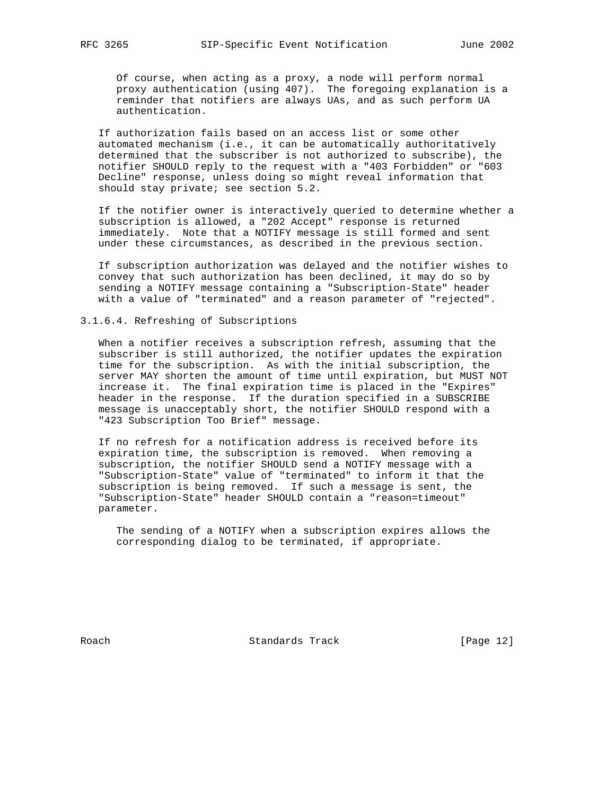Of course, when acting as a proxy, a node will perform normal proxy authentication (using 407). The foregoing explanation is a reminder that notifiers are always UAs, and as such perform UA authentication.

 If authorization fails based on an access list or some other automated mechanism (i.e., it can be automatically authoritatively determined that the subscriber is not authorized to subscribe), the notifier SHOULD reply to the request with a "403 Forbidden" or "603 Decline" response, unless doing so might reveal information that should stay private; see section 5.2.

 If the notifier owner is interactively queried to determine whether a subscription is allowed, a "202 Accept" response is returned immediately. Note that a NOTIFY message is still formed and sent under these circumstances, as described in the previous section.

 If subscription authorization was delayed and the notifier wishes to convey that such authorization has been declined, it may do so by sending a NOTIFY message containing a "Subscription-State" header with a value of "terminated" and a reason parameter of "rejected".

3.1.6.4. Refreshing of Subscriptions

 When a notifier receives a subscription refresh, assuming that the subscriber is still authorized, the notifier updates the expiration time for the subscription. As with the initial subscription, the server MAY shorten the amount of time until expiration, but MUST NOT increase it. The final expiration time is placed in the "Expires" header in the response. If the duration specified in a SUBSCRIBE message is unacceptably short, the notifier SHOULD respond with a "423 Subscription Too Brief" message.

 If no refresh for a notification address is received before its expiration time, the subscription is removed. When removing a subscription, the notifier SHOULD send a NOTIFY message with a "Subscription-State" value of "terminated" to inform it that the subscription is being removed. If such a message is sent, the "Subscription-State" header SHOULD contain a "reason=timeout" parameter.

 The sending of a NOTIFY when a subscription expires allows the corresponding dialog to be terminated, if appropriate.

Roach Standards Track [Page 12]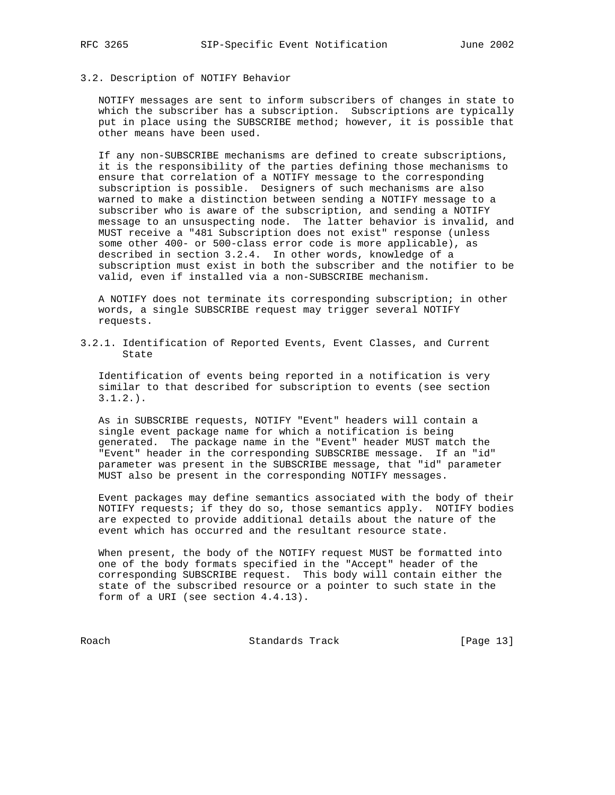# 3.2. Description of NOTIFY Behavior

 NOTIFY messages are sent to inform subscribers of changes in state to which the subscriber has a subscription. Subscriptions are typically put in place using the SUBSCRIBE method; however, it is possible that other means have been used.

 If any non-SUBSCRIBE mechanisms are defined to create subscriptions, it is the responsibility of the parties defining those mechanisms to ensure that correlation of a NOTIFY message to the corresponding subscription is possible. Designers of such mechanisms are also warned to make a distinction between sending a NOTIFY message to a subscriber who is aware of the subscription, and sending a NOTIFY message to an unsuspecting node. The latter behavior is invalid, and MUST receive a "481 Subscription does not exist" response (unless some other 400- or 500-class error code is more applicable), as described in section 3.2.4. In other words, knowledge of a subscription must exist in both the subscriber and the notifier to be valid, even if installed via a non-SUBSCRIBE mechanism.

 A NOTIFY does not terminate its corresponding subscription; in other words, a single SUBSCRIBE request may trigger several NOTIFY requests.

3.2.1. Identification of Reported Events, Event Classes, and Current State

 Identification of events being reported in a notification is very similar to that described for subscription to events (see section 3.1.2.).

 As in SUBSCRIBE requests, NOTIFY "Event" headers will contain a single event package name for which a notification is being generated. The package name in the "Event" header MUST match the "Event" header in the corresponding SUBSCRIBE message. If an "id" parameter was present in the SUBSCRIBE message, that "id" parameter MUST also be present in the corresponding NOTIFY messages.

 Event packages may define semantics associated with the body of their NOTIFY requests; if they do so, those semantics apply. NOTIFY bodies are expected to provide additional details about the nature of the event which has occurred and the resultant resource state.

 When present, the body of the NOTIFY request MUST be formatted into one of the body formats specified in the "Accept" header of the corresponding SUBSCRIBE request. This body will contain either the state of the subscribed resource or a pointer to such state in the form of a URI (see section 4.4.13).

Roach Standards Track [Page 13]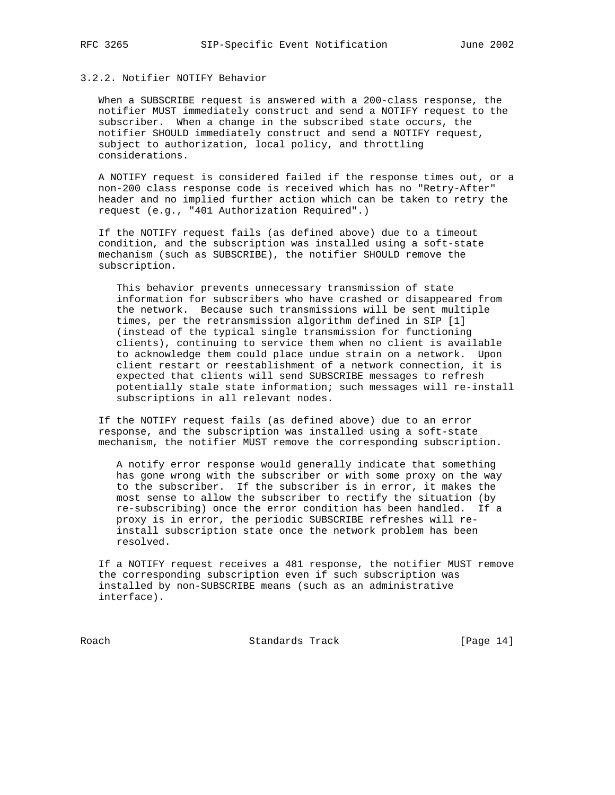#### 3.2.2. Notifier NOTIFY Behavior

 When a SUBSCRIBE request is answered with a 200-class response, the notifier MUST immediately construct and send a NOTIFY request to the subscriber. When a change in the subscribed state occurs, the notifier SHOULD immediately construct and send a NOTIFY request, subject to authorization, local policy, and throttling considerations.

 A NOTIFY request is considered failed if the response times out, or a non-200 class response code is received which has no "Retry-After" header and no implied further action which can be taken to retry the request (e.g., "401 Authorization Required".)

 If the NOTIFY request fails (as defined above) due to a timeout condition, and the subscription was installed using a soft-state mechanism (such as SUBSCRIBE), the notifier SHOULD remove the subscription.

 This behavior prevents unnecessary transmission of state information for subscribers who have crashed or disappeared from the network. Because such transmissions will be sent multiple times, per the retransmission algorithm defined in SIP [1] (instead of the typical single transmission for functioning clients), continuing to service them when no client is available to acknowledge them could place undue strain on a network. Upon client restart or reestablishment of a network connection, it is expected that clients will send SUBSCRIBE messages to refresh potentially stale state information; such messages will re-install subscriptions in all relevant nodes.

 If the NOTIFY request fails (as defined above) due to an error response, and the subscription was installed using a soft-state mechanism, the notifier MUST remove the corresponding subscription.

 A notify error response would generally indicate that something has gone wrong with the subscriber or with some proxy on the way to the subscriber. If the subscriber is in error, it makes the most sense to allow the subscriber to rectify the situation (by re-subscribing) once the error condition has been handled. If a proxy is in error, the periodic SUBSCRIBE refreshes will re install subscription state once the network problem has been resolved.

 If a NOTIFY request receives a 481 response, the notifier MUST remove the corresponding subscription even if such subscription was installed by non-SUBSCRIBE means (such as an administrative interface).

Roach Standards Track [Page 14]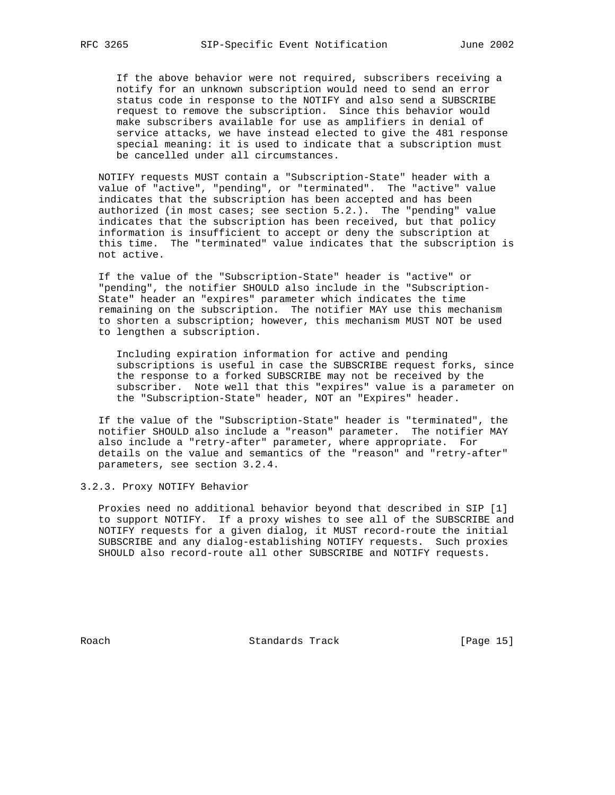If the above behavior were not required, subscribers receiving a notify for an unknown subscription would need to send an error status code in response to the NOTIFY and also send a SUBSCRIBE request to remove the subscription. Since this behavior would make subscribers available for use as amplifiers in denial of service attacks, we have instead elected to give the 481 response special meaning: it is used to indicate that a subscription must be cancelled under all circumstances.

 NOTIFY requests MUST contain a "Subscription-State" header with a value of "active", "pending", or "terminated". The "active" value indicates that the subscription has been accepted and has been authorized (in most cases; see section 5.2.). The "pending" value indicates that the subscription has been received, but that policy information is insufficient to accept or deny the subscription at this time. The "terminated" value indicates that the subscription is not active.

 If the value of the "Subscription-State" header is "active" or "pending", the notifier SHOULD also include in the "Subscription- State" header an "expires" parameter which indicates the time remaining on the subscription. The notifier MAY use this mechanism to shorten a subscription; however, this mechanism MUST NOT be used to lengthen a subscription.

 Including expiration information for active and pending subscriptions is useful in case the SUBSCRIBE request forks, since the response to a forked SUBSCRIBE may not be received by the subscriber. Note well that this "expires" value is a parameter on the "Subscription-State" header, NOT an "Expires" header.

 If the value of the "Subscription-State" header is "terminated", the notifier SHOULD also include a "reason" parameter. The notifier MAY also include a "retry-after" parameter, where appropriate. For details on the value and semantics of the "reason" and "retry-after" parameters, see section 3.2.4.

3.2.3. Proxy NOTIFY Behavior

 Proxies need no additional behavior beyond that described in SIP [1] to support NOTIFY. If a proxy wishes to see all of the SUBSCRIBE and NOTIFY requests for a given dialog, it MUST record-route the initial SUBSCRIBE and any dialog-establishing NOTIFY requests. Such proxies SHOULD also record-route all other SUBSCRIBE and NOTIFY requests.

Roach Standards Track [Page 15]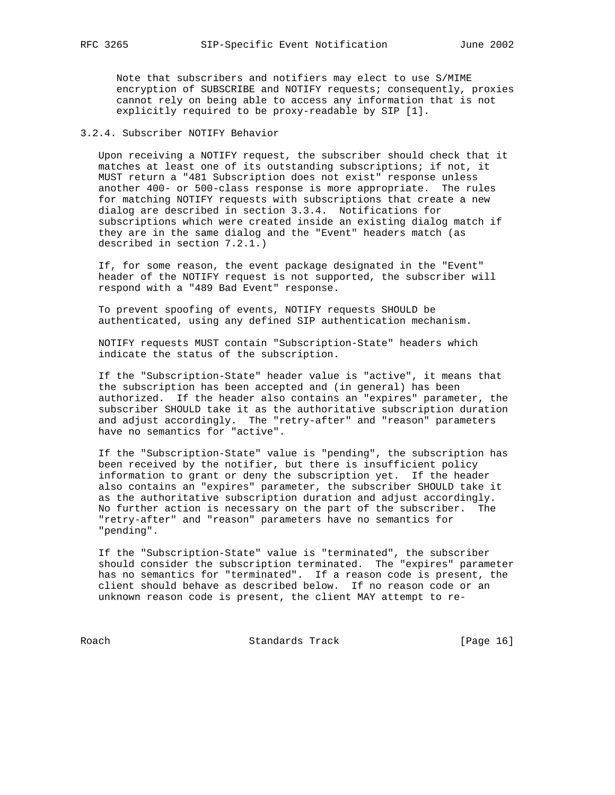Note that subscribers and notifiers may elect to use S/MIME encryption of SUBSCRIBE and NOTIFY requests; consequently, proxies cannot rely on being able to access any information that is not explicitly required to be proxy-readable by SIP [1].

# 3.2.4. Subscriber NOTIFY Behavior

 Upon receiving a NOTIFY request, the subscriber should check that it matches at least one of its outstanding subscriptions; if not, it MUST return a "481 Subscription does not exist" response unless another 400- or 500-class response is more appropriate. The rules for matching NOTIFY requests with subscriptions that create a new dialog are described in section 3.3.4. Notifications for subscriptions which were created inside an existing dialog match if they are in the same dialog and the "Event" headers match (as described in section 7.2.1.)

 If, for some reason, the event package designated in the "Event" header of the NOTIFY request is not supported, the subscriber will respond with a "489 Bad Event" response.

 To prevent spoofing of events, NOTIFY requests SHOULD be authenticated, using any defined SIP authentication mechanism.

 NOTIFY requests MUST contain "Subscription-State" headers which indicate the status of the subscription.

 If the "Subscription-State" header value is "active", it means that the subscription has been accepted and (in general) has been authorized. If the header also contains an "expires" parameter, the subscriber SHOULD take it as the authoritative subscription duration and adjust accordingly. The "retry-after" and "reason" parameters have no semantics for "active".

 If the "Subscription-State" value is "pending", the subscription has been received by the notifier, but there is insufficient policy information to grant or deny the subscription yet. If the header also contains an "expires" parameter, the subscriber SHOULD take it as the authoritative subscription duration and adjust accordingly. No further action is necessary on the part of the subscriber. The "retry-after" and "reason" parameters have no semantics for "pending".

 If the "Subscription-State" value is "terminated", the subscriber should consider the subscription terminated. The "expires" parameter has no semantics for "terminated". If a reason code is present, the client should behave as described below. If no reason code or an unknown reason code is present, the client MAY attempt to re-

Roach Standards Track [Page 16]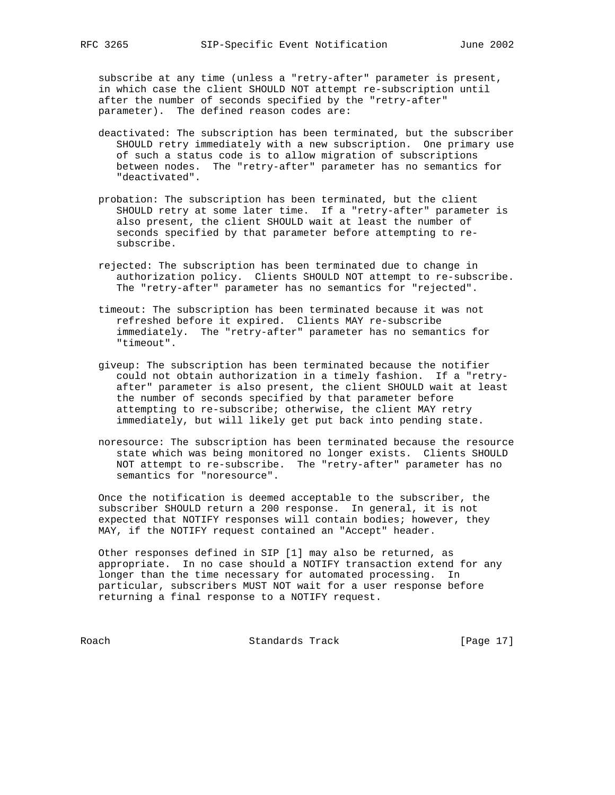subscribe at any time (unless a "retry-after" parameter is present, in which case the client SHOULD NOT attempt re-subscription until after the number of seconds specified by the "retry-after" parameter). The defined reason codes are:

- deactivated: The subscription has been terminated, but the subscriber SHOULD retry immediately with a new subscription. One primary use of such a status code is to allow migration of subscriptions between nodes. The "retry-after" parameter has no semantics for "deactivated".
- probation: The subscription has been terminated, but the client SHOULD retry at some later time. If a "retry-after" parameter is also present, the client SHOULD wait at least the number of seconds specified by that parameter before attempting to re subscribe.
- rejected: The subscription has been terminated due to change in authorization policy. Clients SHOULD NOT attempt to re-subscribe. The "retry-after" parameter has no semantics for "rejected".
- timeout: The subscription has been terminated because it was not refreshed before it expired. Clients MAY re-subscribe immediately. The "retry-after" parameter has no semantics for "timeout".
- giveup: The subscription has been terminated because the notifier could not obtain authorization in a timely fashion. If a "retry after" parameter is also present, the client SHOULD wait at least the number of seconds specified by that parameter before attempting to re-subscribe; otherwise, the client MAY retry immediately, but will likely get put back into pending state.
- noresource: The subscription has been terminated because the resource state which was being monitored no longer exists. Clients SHOULD NOT attempt to re-subscribe. The "retry-after" parameter has no semantics for "noresource".

 Once the notification is deemed acceptable to the subscriber, the subscriber SHOULD return a 200 response. In general, it is not expected that NOTIFY responses will contain bodies; however, they MAY, if the NOTIFY request contained an "Accept" header.

 Other responses defined in SIP [1] may also be returned, as appropriate. In no case should a NOTIFY transaction extend for any longer than the time necessary for automated processing. In particular, subscribers MUST NOT wait for a user response before returning a final response to a NOTIFY request.

Roach Standards Track [Page 17]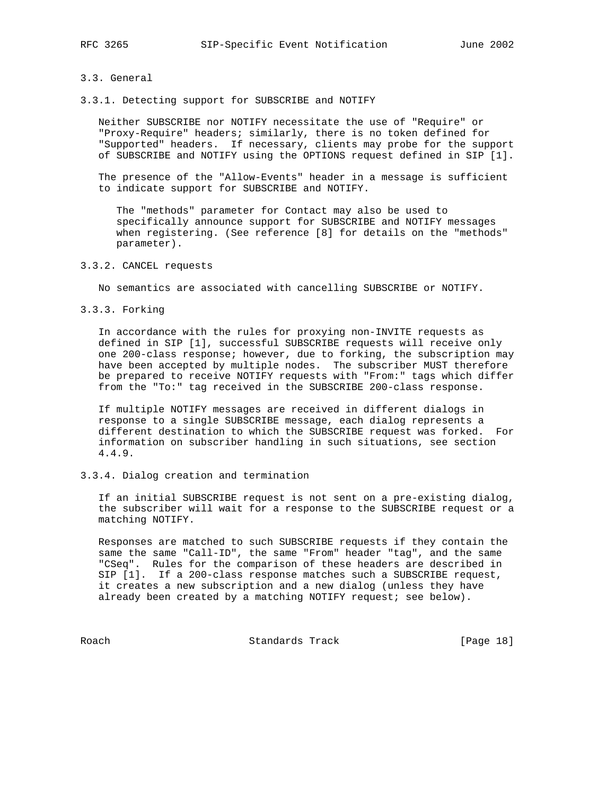#### 3.3. General

3.3.1. Detecting support for SUBSCRIBE and NOTIFY

 Neither SUBSCRIBE nor NOTIFY necessitate the use of "Require" or "Proxy-Require" headers; similarly, there is no token defined for "Supported" headers. If necessary, clients may probe for the support of SUBSCRIBE and NOTIFY using the OPTIONS request defined in SIP [1].

 The presence of the "Allow-Events" header in a message is sufficient to indicate support for SUBSCRIBE and NOTIFY.

 The "methods" parameter for Contact may also be used to specifically announce support for SUBSCRIBE and NOTIFY messages when registering. (See reference [8] for details on the "methods" parameter).

## 3.3.2. CANCEL requests

No semantics are associated with cancelling SUBSCRIBE or NOTIFY.

3.3.3. Forking

 In accordance with the rules for proxying non-INVITE requests as defined in SIP [1], successful SUBSCRIBE requests will receive only one 200-class response; however, due to forking, the subscription may have been accepted by multiple nodes. The subscriber MUST therefore be prepared to receive NOTIFY requests with "From:" tags which differ from the "To:" tag received in the SUBSCRIBE 200-class response.

 If multiple NOTIFY messages are received in different dialogs in response to a single SUBSCRIBE message, each dialog represents a different destination to which the SUBSCRIBE request was forked. For information on subscriber handling in such situations, see section 4.4.9.

## 3.3.4. Dialog creation and termination

 If an initial SUBSCRIBE request is not sent on a pre-existing dialog, the subscriber will wait for a response to the SUBSCRIBE request or a matching NOTIFY.

 Responses are matched to such SUBSCRIBE requests if they contain the same the same "Call-ID", the same "From" header "tag", and the same "CSeq". Rules for the comparison of these headers are described in SIP [1]. If a 200-class response matches such a SUBSCRIBE request, it creates a new subscription and a new dialog (unless they have already been created by a matching NOTIFY request; see below).

Roach Standards Track [Page 18]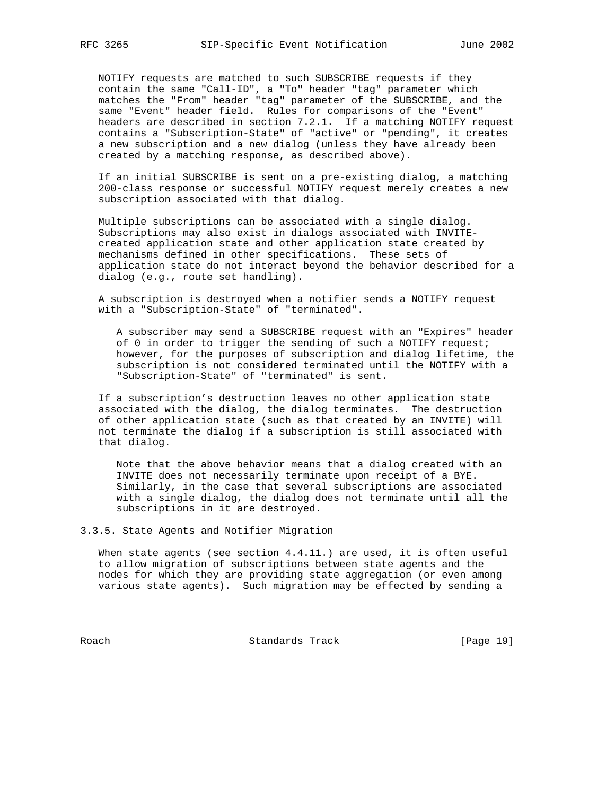NOTIFY requests are matched to such SUBSCRIBE requests if they contain the same "Call-ID", a "To" header "tag" parameter which matches the "From" header "tag" parameter of the SUBSCRIBE, and the same "Event" header field. Rules for comparisons of the "Event" headers are described in section 7.2.1. If a matching NOTIFY request contains a "Subscription-State" of "active" or "pending", it creates a new subscription and a new dialog (unless they have already been created by a matching response, as described above).

 If an initial SUBSCRIBE is sent on a pre-existing dialog, a matching 200-class response or successful NOTIFY request merely creates a new subscription associated with that dialog.

 Multiple subscriptions can be associated with a single dialog. Subscriptions may also exist in dialogs associated with INVITE created application state and other application state created by mechanisms defined in other specifications. These sets of application state do not interact beyond the behavior described for a dialog (e.g., route set handling).

 A subscription is destroyed when a notifier sends a NOTIFY request with a "Subscription-State" of "terminated".

 A subscriber may send a SUBSCRIBE request with an "Expires" header of 0 in order to trigger the sending of such a NOTIFY request; however, for the purposes of subscription and dialog lifetime, the subscription is not considered terminated until the NOTIFY with a "Subscription-State" of "terminated" is sent.

 If a subscription's destruction leaves no other application state associated with the dialog, the dialog terminates. The destruction of other application state (such as that created by an INVITE) will not terminate the dialog if a subscription is still associated with that dialog.

 Note that the above behavior means that a dialog created with an INVITE does not necessarily terminate upon receipt of a BYE. Similarly, in the case that several subscriptions are associated with a single dialog, the dialog does not terminate until all the subscriptions in it are destroyed.

3.3.5. State Agents and Notifier Migration

 When state agents (see section 4.4.11.) are used, it is often useful to allow migration of subscriptions between state agents and the nodes for which they are providing state aggregation (or even among various state agents). Such migration may be effected by sending a

Roach Standards Track [Page 19]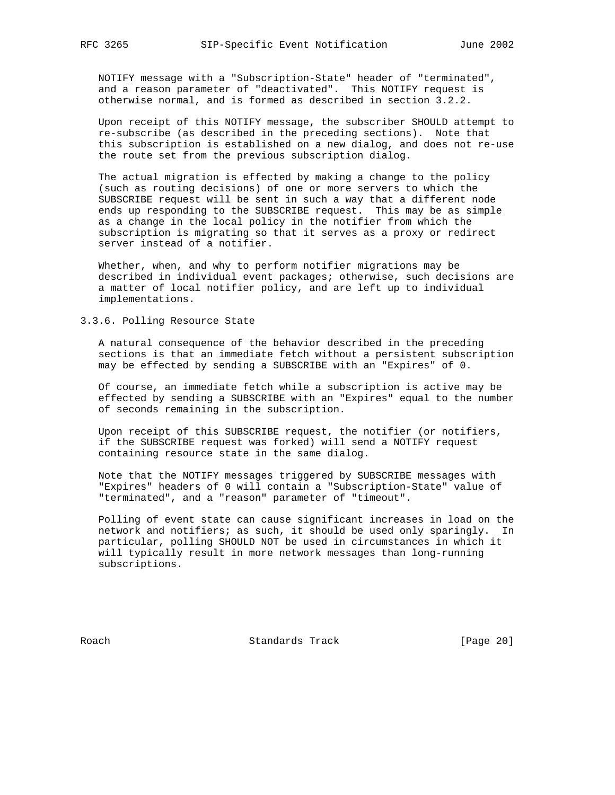NOTIFY message with a "Subscription-State" header of "terminated", and a reason parameter of "deactivated". This NOTIFY request is otherwise normal, and is formed as described in section 3.2.2.

 Upon receipt of this NOTIFY message, the subscriber SHOULD attempt to re-subscribe (as described in the preceding sections). Note that this subscription is established on a new dialog, and does not re-use the route set from the previous subscription dialog.

 The actual migration is effected by making a change to the policy (such as routing decisions) of one or more servers to which the SUBSCRIBE request will be sent in such a way that a different node ends up responding to the SUBSCRIBE request. This may be as simple as a change in the local policy in the notifier from which the subscription is migrating so that it serves as a proxy or redirect server instead of a notifier.

 Whether, when, and why to perform notifier migrations may be described in individual event packages; otherwise, such decisions are a matter of local notifier policy, and are left up to individual implementations.

3.3.6. Polling Resource State

 A natural consequence of the behavior described in the preceding sections is that an immediate fetch without a persistent subscription may be effected by sending a SUBSCRIBE with an "Expires" of 0.

 Of course, an immediate fetch while a subscription is active may be effected by sending a SUBSCRIBE with an "Expires" equal to the number of seconds remaining in the subscription.

 Upon receipt of this SUBSCRIBE request, the notifier (or notifiers, if the SUBSCRIBE request was forked) will send a NOTIFY request containing resource state in the same dialog.

 Note that the NOTIFY messages triggered by SUBSCRIBE messages with "Expires" headers of 0 will contain a "Subscription-State" value of "terminated", and a "reason" parameter of "timeout".

 Polling of event state can cause significant increases in load on the network and notifiers; as such, it should be used only sparingly. In particular, polling SHOULD NOT be used in circumstances in which it will typically result in more network messages than long-running subscriptions.

Roach **Standards Track** [Page 20]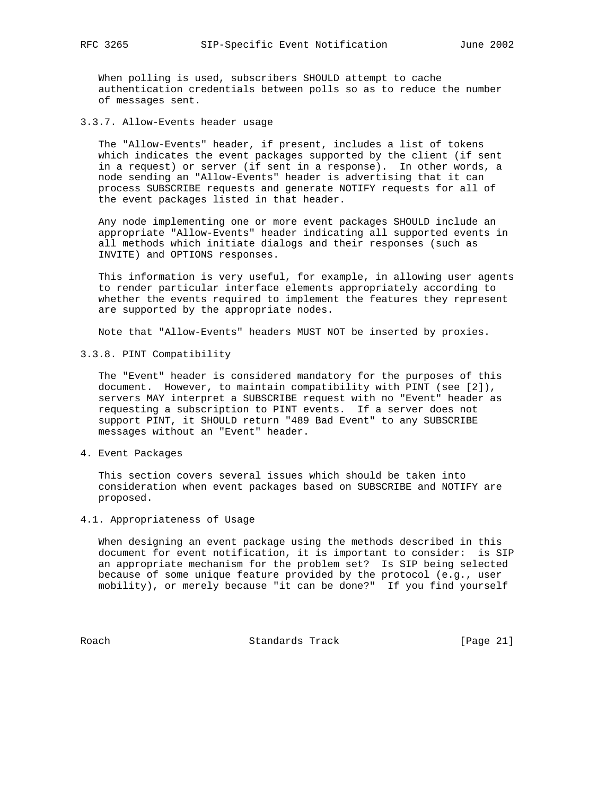When polling is used, subscribers SHOULD attempt to cache authentication credentials between polls so as to reduce the number of messages sent.

3.3.7. Allow-Events header usage

 The "Allow-Events" header, if present, includes a list of tokens which indicates the event packages supported by the client (if sent in a request) or server (if sent in a response). In other words, a node sending an "Allow-Events" header is advertising that it can process SUBSCRIBE requests and generate NOTIFY requests for all of the event packages listed in that header.

 Any node implementing one or more event packages SHOULD include an appropriate "Allow-Events" header indicating all supported events in all methods which initiate dialogs and their responses (such as INVITE) and OPTIONS responses.

 This information is very useful, for example, in allowing user agents to render particular interface elements appropriately according to whether the events required to implement the features they represent are supported by the appropriate nodes.

Note that "Allow-Events" headers MUST NOT be inserted by proxies.

3.3.8. PINT Compatibility

 The "Event" header is considered mandatory for the purposes of this document. However, to maintain compatibility with PINT (see [2]), servers MAY interpret a SUBSCRIBE request with no "Event" header as requesting a subscription to PINT events. If a server does not support PINT, it SHOULD return "489 Bad Event" to any SUBSCRIBE messages without an "Event" header.

4. Event Packages

 This section covers several issues which should be taken into consideration when event packages based on SUBSCRIBE and NOTIFY are proposed.

4.1. Appropriateness of Usage

 When designing an event package using the methods described in this document for event notification, it is important to consider: is SIP an appropriate mechanism for the problem set? Is SIP being selected because of some unique feature provided by the protocol (e.g., user mobility), or merely because "it can be done?" If you find yourself

Roach Standards Track [Page 21]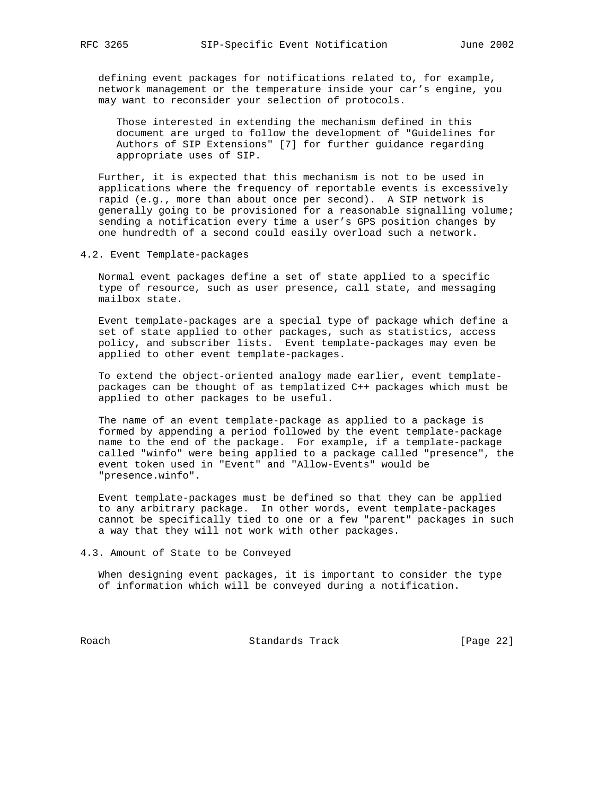defining event packages for notifications related to, for example, network management or the temperature inside your car's engine, you may want to reconsider your selection of protocols.

 Those interested in extending the mechanism defined in this document are urged to follow the development of "Guidelines for Authors of SIP Extensions" [7] for further guidance regarding appropriate uses of SIP.

 Further, it is expected that this mechanism is not to be used in applications where the frequency of reportable events is excessively rapid (e.g., more than about once per second). A SIP network is generally going to be provisioned for a reasonable signalling volume; sending a notification every time a user's GPS position changes by one hundredth of a second could easily overload such a network.

4.2. Event Template-packages

 Normal event packages define a set of state applied to a specific type of resource, such as user presence, call state, and messaging mailbox state.

 Event template-packages are a special type of package which define a set of state applied to other packages, such as statistics, access policy, and subscriber lists. Event template-packages may even be applied to other event template-packages.

 To extend the object-oriented analogy made earlier, event template packages can be thought of as templatized C++ packages which must be applied to other packages to be useful.

 The name of an event template-package as applied to a package is formed by appending a period followed by the event template-package name to the end of the package. For example, if a template-package called "winfo" were being applied to a package called "presence", the event token used in "Event" and "Allow-Events" would be "presence.winfo".

 Event template-packages must be defined so that they can be applied to any arbitrary package. In other words, event template-packages cannot be specifically tied to one or a few "parent" packages in such a way that they will not work with other packages.

4.3. Amount of State to be Conveyed

 When designing event packages, it is important to consider the type of information which will be conveyed during a notification.

Roach Standards Track [Page 22]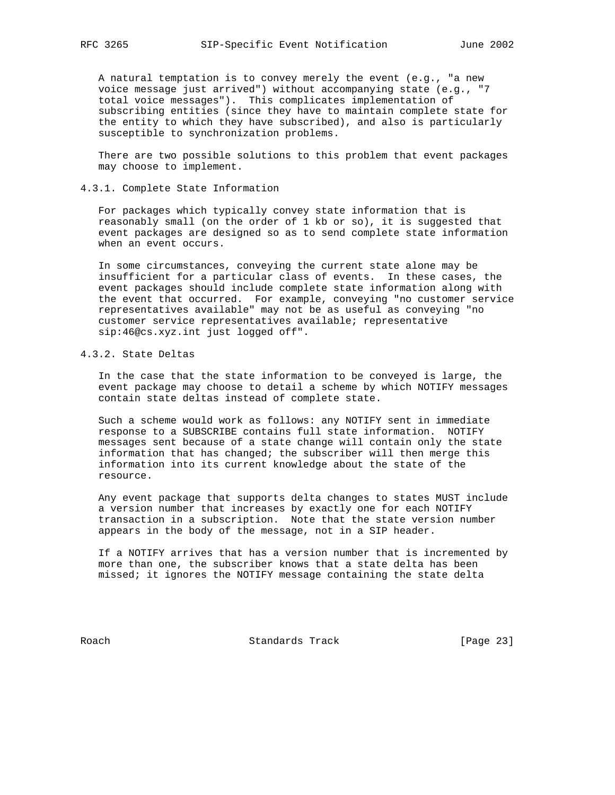A natural temptation is to convey merely the event (e.g., "a new voice message just arrived") without accompanying state (e.g., "7 total voice messages"). This complicates implementation of subscribing entities (since they have to maintain complete state for the entity to which they have subscribed), and also is particularly susceptible to synchronization problems.

 There are two possible solutions to this problem that event packages may choose to implement.

## 4.3.1. Complete State Information

 For packages which typically convey state information that is reasonably small (on the order of 1 kb or so), it is suggested that event packages are designed so as to send complete state information when an event occurs.

 In some circumstances, conveying the current state alone may be insufficient for a particular class of events. In these cases, the event packages should include complete state information along with the event that occurred. For example, conveying "no customer service representatives available" may not be as useful as conveying "no customer service representatives available; representative sip:46@cs.xyz.int just logged off".

## 4.3.2. State Deltas

 In the case that the state information to be conveyed is large, the event package may choose to detail a scheme by which NOTIFY messages contain state deltas instead of complete state.

 Such a scheme would work as follows: any NOTIFY sent in immediate response to a SUBSCRIBE contains full state information. NOTIFY messages sent because of a state change will contain only the state information that has changed; the subscriber will then merge this information into its current knowledge about the state of the resource.

 Any event package that supports delta changes to states MUST include a version number that increases by exactly one for each NOTIFY transaction in a subscription. Note that the state version number appears in the body of the message, not in a SIP header.

 If a NOTIFY arrives that has a version number that is incremented by more than one, the subscriber knows that a state delta has been missed; it ignores the NOTIFY message containing the state delta

Roach Standards Track [Page 23]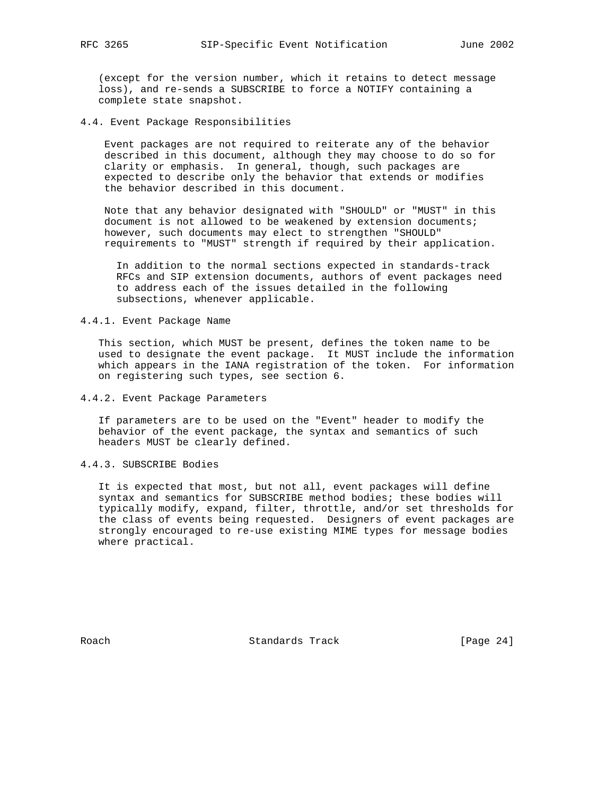(except for the version number, which it retains to detect message loss), and re-sends a SUBSCRIBE to force a NOTIFY containing a complete state snapshot.

4.4. Event Package Responsibilities

 Event packages are not required to reiterate any of the behavior described in this document, although they may choose to do so for clarity or emphasis. In general, though, such packages are expected to describe only the behavior that extends or modifies the behavior described in this document.

 Note that any behavior designated with "SHOULD" or "MUST" in this document is not allowed to be weakened by extension documents; however, such documents may elect to strengthen "SHOULD" requirements to "MUST" strength if required by their application.

 In addition to the normal sections expected in standards-track RFCs and SIP extension documents, authors of event packages need to address each of the issues detailed in the following subsections, whenever applicable.

# 4.4.1. Event Package Name

 This section, which MUST be present, defines the token name to be used to designate the event package. It MUST include the information which appears in the IANA registration of the token. For information on registering such types, see section 6.

4.4.2. Event Package Parameters

 If parameters are to be used on the "Event" header to modify the behavior of the event package, the syntax and semantics of such headers MUST be clearly defined.

## 4.4.3. SUBSCRIBE Bodies

 It is expected that most, but not all, event packages will define syntax and semantics for SUBSCRIBE method bodies; these bodies will typically modify, expand, filter, throttle, and/or set thresholds for the class of events being requested. Designers of event packages are strongly encouraged to re-use existing MIME types for message bodies where practical.

Roach **Standards Track** [Page 24]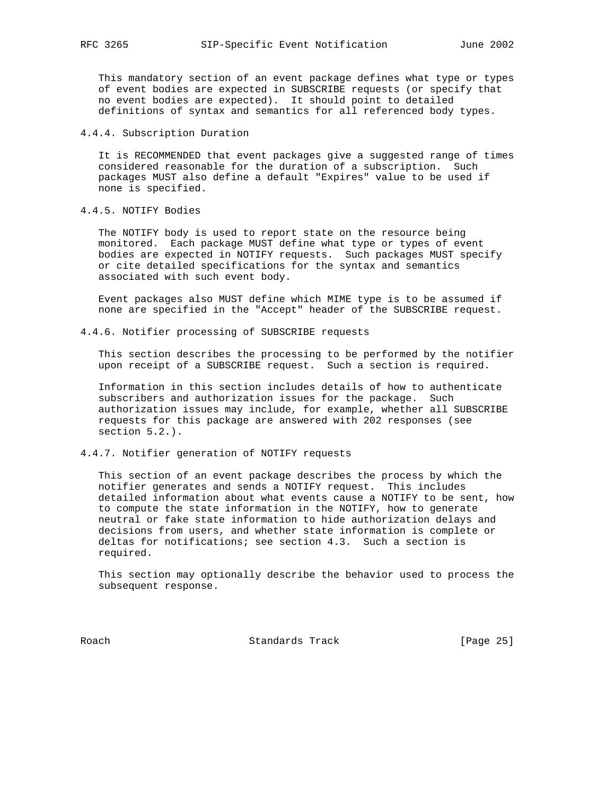This mandatory section of an event package defines what type or types of event bodies are expected in SUBSCRIBE requests (or specify that no event bodies are expected). It should point to detailed definitions of syntax and semantics for all referenced body types.

4.4.4. Subscription Duration

 It is RECOMMENDED that event packages give a suggested range of times considered reasonable for the duration of a subscription. Such packages MUST also define a default "Expires" value to be used if none is specified.

4.4.5. NOTIFY Bodies

 The NOTIFY body is used to report state on the resource being monitored. Each package MUST define what type or types of event bodies are expected in NOTIFY requests. Such packages MUST specify or cite detailed specifications for the syntax and semantics associated with such event body.

 Event packages also MUST define which MIME type is to be assumed if none are specified in the "Accept" header of the SUBSCRIBE request.

4.4.6. Notifier processing of SUBSCRIBE requests

 This section describes the processing to be performed by the notifier upon receipt of a SUBSCRIBE request. Such a section is required.

 Information in this section includes details of how to authenticate subscribers and authorization issues for the package. Such authorization issues may include, for example, whether all SUBSCRIBE requests for this package are answered with 202 responses (see section 5.2.).

#### 4.4.7. Notifier generation of NOTIFY requests

 This section of an event package describes the process by which the notifier generates and sends a NOTIFY request. This includes detailed information about what events cause a NOTIFY to be sent, how to compute the state information in the NOTIFY, how to generate neutral or fake state information to hide authorization delays and decisions from users, and whether state information is complete or deltas for notifications; see section 4.3. Such a section is required.

 This section may optionally describe the behavior used to process the subsequent response.

Roach Standards Track [Page 25]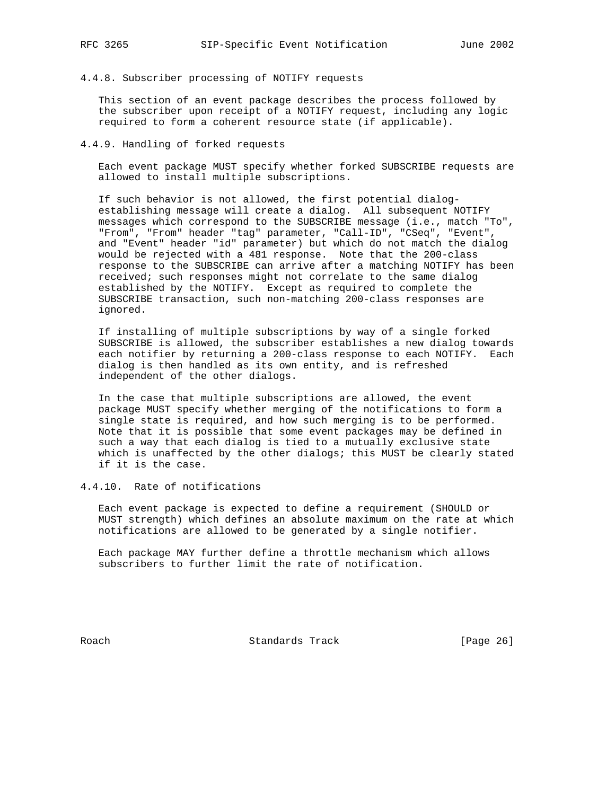#### 4.4.8. Subscriber processing of NOTIFY requests

 This section of an event package describes the process followed by the subscriber upon receipt of a NOTIFY request, including any logic required to form a coherent resource state (if applicable).

4.4.9. Handling of forked requests

 Each event package MUST specify whether forked SUBSCRIBE requests are allowed to install multiple subscriptions.

 If such behavior is not allowed, the first potential dialog establishing message will create a dialog. All subsequent NOTIFY messages which correspond to the SUBSCRIBE message (i.e., match "To", "From", "From" header "tag" parameter, "Call-ID", "CSeq", "Event", and "Event" header "id" parameter) but which do not match the dialog would be rejected with a 481 response. Note that the 200-class response to the SUBSCRIBE can arrive after a matching NOTIFY has been received; such responses might not correlate to the same dialog established by the NOTIFY. Except as required to complete the SUBSCRIBE transaction, such non-matching 200-class responses are ignored.

 If installing of multiple subscriptions by way of a single forked SUBSCRIBE is allowed, the subscriber establishes a new dialog towards each notifier by returning a 200-class response to each NOTIFY. Each dialog is then handled as its own entity, and is refreshed independent of the other dialogs.

 In the case that multiple subscriptions are allowed, the event package MUST specify whether merging of the notifications to form a single state is required, and how such merging is to be performed. Note that it is possible that some event packages may be defined in such a way that each dialog is tied to a mutually exclusive state which is unaffected by the other dialogs; this MUST be clearly stated if it is the case.

4.4.10. Rate of notifications

 Each event package is expected to define a requirement (SHOULD or MUST strength) which defines an absolute maximum on the rate at which notifications are allowed to be generated by a single notifier.

 Each package MAY further define a throttle mechanism which allows subscribers to further limit the rate of notification.

Roach Standards Track [Page 26]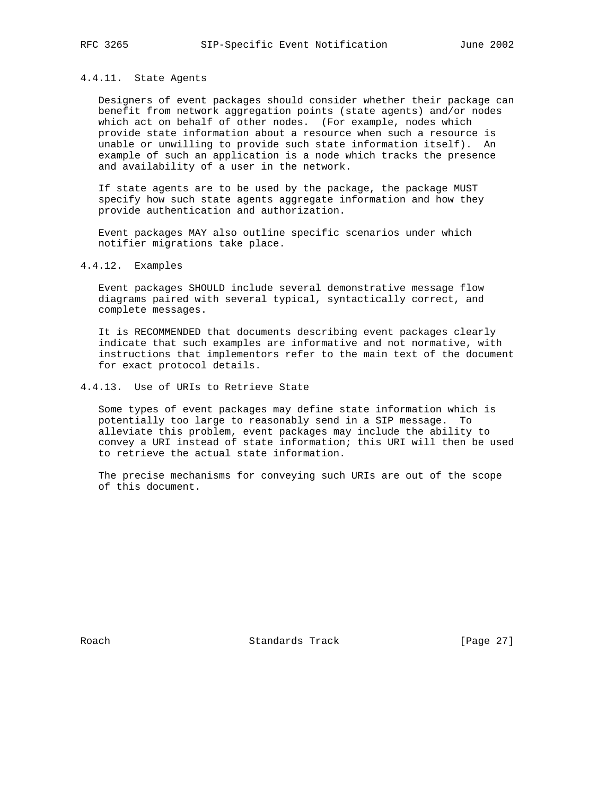#### 4.4.11. State Agents

 Designers of event packages should consider whether their package can benefit from network aggregation points (state agents) and/or nodes which act on behalf of other nodes. (For example, nodes which provide state information about a resource when such a resource is unable or unwilling to provide such state information itself). An example of such an application is a node which tracks the presence and availability of a user in the network.

 If state agents are to be used by the package, the package MUST specify how such state agents aggregate information and how they provide authentication and authorization.

 Event packages MAY also outline specific scenarios under which notifier migrations take place.

# 4.4.12. Examples

 Event packages SHOULD include several demonstrative message flow diagrams paired with several typical, syntactically correct, and complete messages.

 It is RECOMMENDED that documents describing event packages clearly indicate that such examples are informative and not normative, with instructions that implementors refer to the main text of the document for exact protocol details.

4.4.13. Use of URIs to Retrieve State

 Some types of event packages may define state information which is potentially too large to reasonably send in a SIP message. To alleviate this problem, event packages may include the ability to convey a URI instead of state information; this URI will then be used to retrieve the actual state information.

 The precise mechanisms for conveying such URIs are out of the scope of this document.

Roach **Standards Track** [Page 27]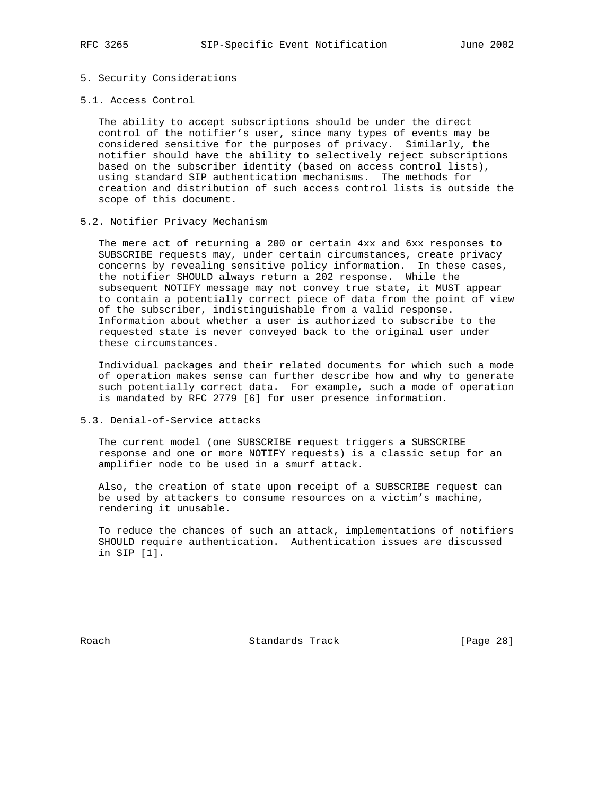### 5. Security Considerations

#### 5.1. Access Control

 The ability to accept subscriptions should be under the direct control of the notifier's user, since many types of events may be considered sensitive for the purposes of privacy. Similarly, the notifier should have the ability to selectively reject subscriptions based on the subscriber identity (based on access control lists), using standard SIP authentication mechanisms. The methods for creation and distribution of such access control lists is outside the scope of this document.

#### 5.2. Notifier Privacy Mechanism

 The mere act of returning a 200 or certain 4xx and 6xx responses to SUBSCRIBE requests may, under certain circumstances, create privacy concerns by revealing sensitive policy information. In these cases, the notifier SHOULD always return a 202 response. While the subsequent NOTIFY message may not convey true state, it MUST appear to contain a potentially correct piece of data from the point of view of the subscriber, indistinguishable from a valid response. Information about whether a user is authorized to subscribe to the requested state is never conveyed back to the original user under these circumstances.

 Individual packages and their related documents for which such a mode of operation makes sense can further describe how and why to generate such potentially correct data. For example, such a mode of operation is mandated by RFC 2779 [6] for user presence information.

5.3. Denial-of-Service attacks

 The current model (one SUBSCRIBE request triggers a SUBSCRIBE response and one or more NOTIFY requests) is a classic setup for an amplifier node to be used in a smurf attack.

 Also, the creation of state upon receipt of a SUBSCRIBE request can be used by attackers to consume resources on a victim's machine, rendering it unusable.

 To reduce the chances of such an attack, implementations of notifiers SHOULD require authentication. Authentication issues are discussed in SIP [1].

Roach Standards Track [Page 28]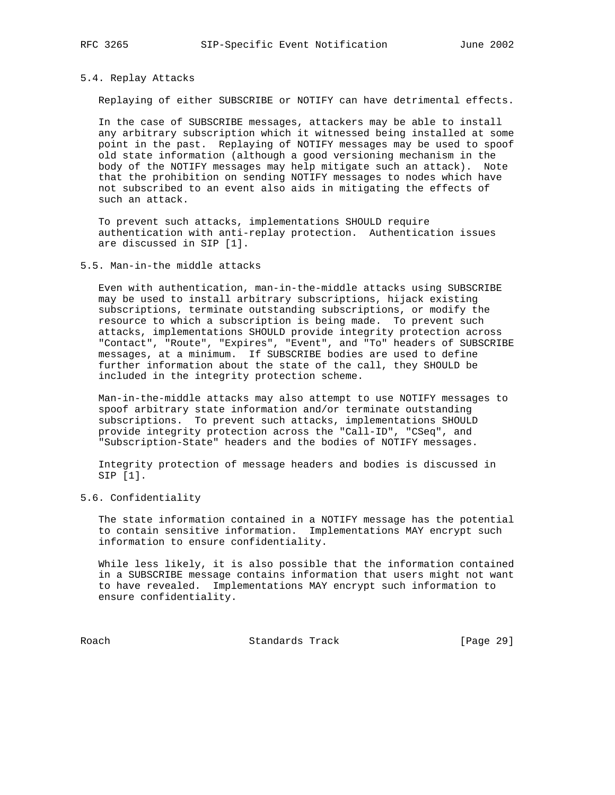### 5.4. Replay Attacks

Replaying of either SUBSCRIBE or NOTIFY can have detrimental effects.

 In the case of SUBSCRIBE messages, attackers may be able to install any arbitrary subscription which it witnessed being installed at some point in the past. Replaying of NOTIFY messages may be used to spoof old state information (although a good versioning mechanism in the body of the NOTIFY messages may help mitigate such an attack). Note that the prohibition on sending NOTIFY messages to nodes which have not subscribed to an event also aids in mitigating the effects of such an attack.

 To prevent such attacks, implementations SHOULD require authentication with anti-replay protection. Authentication issues are discussed in SIP [1].

#### 5.5. Man-in-the middle attacks

 Even with authentication, man-in-the-middle attacks using SUBSCRIBE may be used to install arbitrary subscriptions, hijack existing subscriptions, terminate outstanding subscriptions, or modify the resource to which a subscription is being made. To prevent such attacks, implementations SHOULD provide integrity protection across "Contact", "Route", "Expires", "Event", and "To" headers of SUBSCRIBE messages, at a minimum. If SUBSCRIBE bodies are used to define further information about the state of the call, they SHOULD be included in the integrity protection scheme.

 Man-in-the-middle attacks may also attempt to use NOTIFY messages to spoof arbitrary state information and/or terminate outstanding subscriptions. To prevent such attacks, implementations SHOULD provide integrity protection across the "Call-ID", "CSeq", and "Subscription-State" headers and the bodies of NOTIFY messages.

 Integrity protection of message headers and bodies is discussed in SIP [1].

#### 5.6. Confidentiality

 The state information contained in a NOTIFY message has the potential to contain sensitive information. Implementations MAY encrypt such information to ensure confidentiality.

 While less likely, it is also possible that the information contained in a SUBSCRIBE message contains information that users might not want to have revealed. Implementations MAY encrypt such information to ensure confidentiality.

Roach Standards Track [Page 29]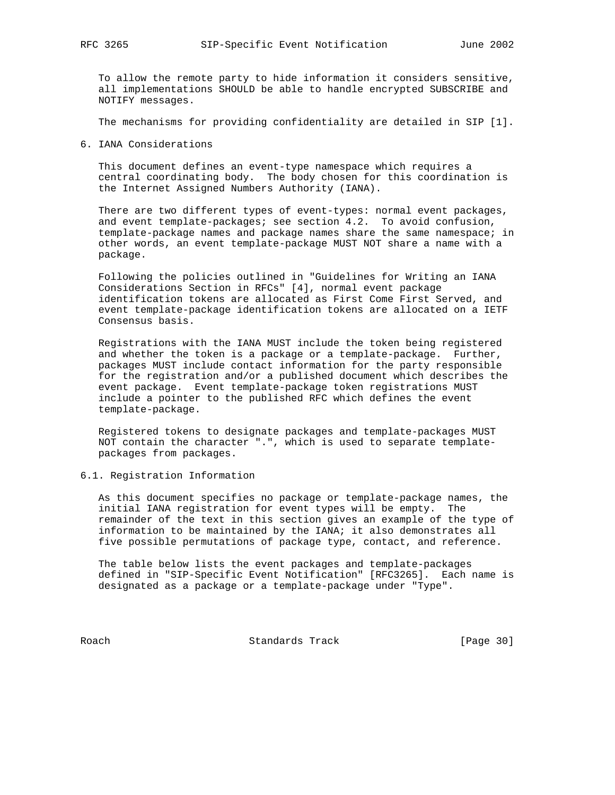To allow the remote party to hide information it considers sensitive, all implementations SHOULD be able to handle encrypted SUBSCRIBE and NOTIFY messages.

The mechanisms for providing confidentiality are detailed in SIP [1].

6. IANA Considerations

 This document defines an event-type namespace which requires a central coordinating body. The body chosen for this coordination is the Internet Assigned Numbers Authority (IANA).

 There are two different types of event-types: normal event packages, and event template-packages; see section 4.2. To avoid confusion, template-package names and package names share the same namespace; in other words, an event template-package MUST NOT share a name with a package.

 Following the policies outlined in "Guidelines for Writing an IANA Considerations Section in RFCs" [4], normal event package identification tokens are allocated as First Come First Served, and event template-package identification tokens are allocated on a IETF Consensus basis.

 Registrations with the IANA MUST include the token being registered and whether the token is a package or a template-package. Further, packages MUST include contact information for the party responsible for the registration and/or a published document which describes the event package. Event template-package token registrations MUST include a pointer to the published RFC which defines the event template-package.

 Registered tokens to designate packages and template-packages MUST NOT contain the character ".", which is used to separate template packages from packages.

6.1. Registration Information

 As this document specifies no package or template-package names, the initial IANA registration for event types will be empty. The remainder of the text in this section gives an example of the type of information to be maintained by the IANA; it also demonstrates all five possible permutations of package type, contact, and reference.

 The table below lists the event packages and template-packages defined in "SIP-Specific Event Notification" [RFC3265]. Each name is designated as a package or a template-package under "Type".

Roach Standards Track [Page 30]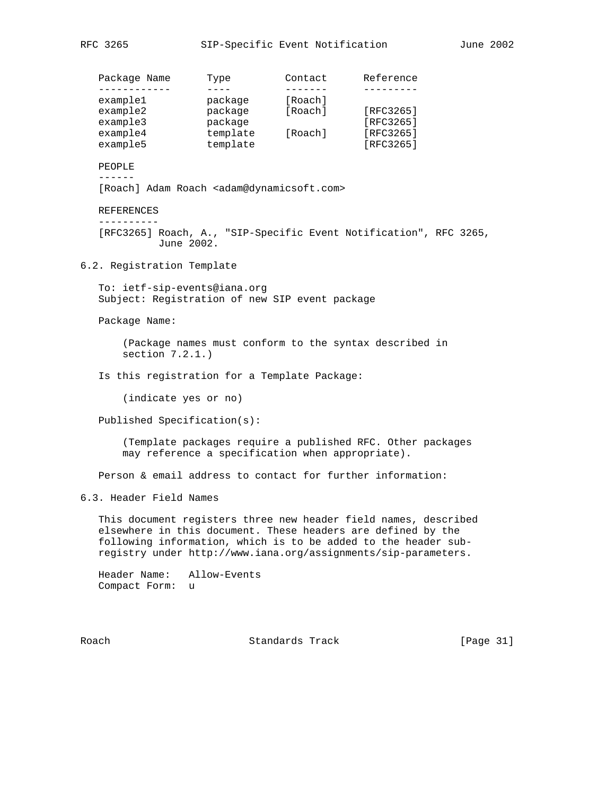Package Name Type Contact Reference ------------ ---- ------- -------- example1 package [Roach] example2 package [Roach] [RFC3265] example3 package [RFC3265] example4 template [Roach] [RFC3265] example5 template [RFC3265] PEOPLE ------ [Roach] Adam Roach <adam@dynamicsoft.com> REFERENCES ---------- [RFC3265] Roach, A., "SIP-Specific Event Notification", RFC 3265, June 2002. 6.2. Registration Template To: ietf-sip-events@iana.org Subject: Registration of new SIP event package Package Name: (Package names must conform to the syntax described in section 7.2.1.) Is this registration for a Template Package: (indicate yes or no) Published Specification(s): (Template packages require a published RFC. Other packages may reference a specification when appropriate). Person & email address to contact for further information: 6.3. Header Field Names This document registers three new header field names, described elsewhere in this document. These headers are defined by the following information, which is to be added to the header sub registry under http://www.iana.org/assignments/sip-parameters. Header Name: Allow-Events Compact Form: u Roach **Standards Track** [Page 31]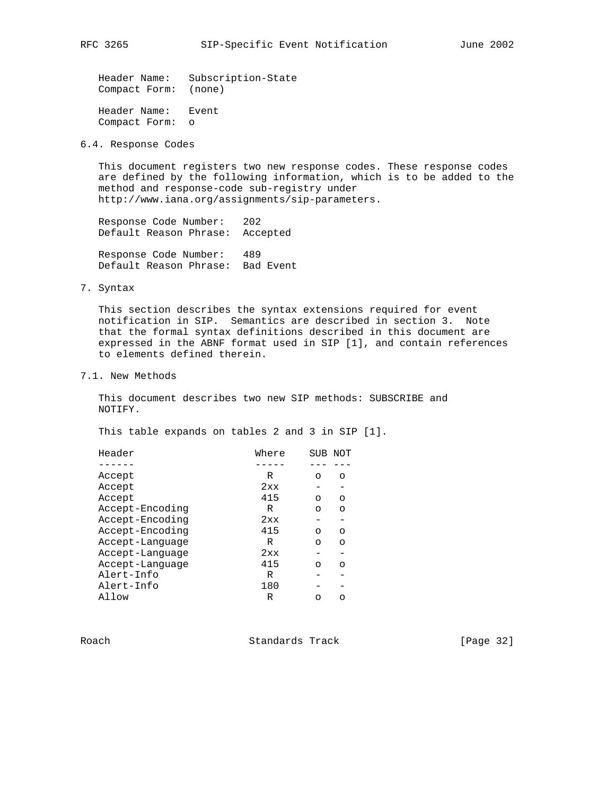Header Name: Subscription-State Compact Form: (none)

 Header Name: Event Compact Form: o

6.4. Response Codes

 This document registers two new response codes. These response codes are defined by the following information, which is to be added to the method and response-code sub-registry under http://www.iana.org/assignments/sip-parameters.

 Response Code Number: 202 Default Reason Phrase: Accepted

 Response Code Number: 489 Default Reason Phrase: Bad Event

7. Syntax

 This section describes the syntax extensions required for event notification in SIP. Semantics are described in section 3. Note that the formal syntax definitions described in this document are expressed in the ABNF format used in SIP [1], and contain references to elements defined therein.

7.1. New Methods

 This document describes two new SIP methods: SUBSCRIBE and NOTIFY.

This table expands on tables 2 and 3 in SIP [1].

| Header          | Where | SUB | NOT |
|-----------------|-------|-----|-----|
|                 |       |     |     |
| Accept          | R     | ∩   | ∩   |
| Accept          | 2xx   |     |     |
| Accept          | 415   | ∩   | ∩   |
| Accept-Encoding | R     | ∩   | ∩   |
| Accept-Encoding | 2xx   |     |     |
| Accept-Encoding | 415   | ∩   | ∩   |
| Accept-Lanquage | R     | ∩   | ∩   |
| Accept-Language | 2xx   |     |     |
| Accept-Lanquage | 415   | ∩   | ∩   |
| Alert-Info      | R     |     |     |
| Alert-Info      | 180   |     |     |
| Allow           | R     | ∩   |     |

Roach **Standards Track** [Page 32]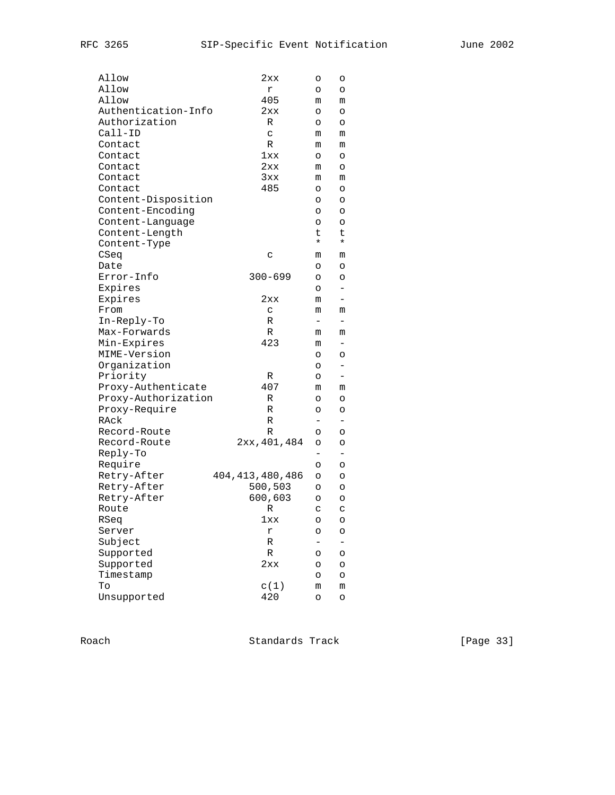| Allow                       | 2xx                | O                        | O                 |
|-----------------------------|--------------------|--------------------------|-------------------|
| Allow                       | r                  | O                        | O                 |
| Allow                       | 405                | m                        | m                 |
| Authentication-Info         | 2xx                | O                        | O                 |
| Authorization               | R                  | O                        | O                 |
| Call-ID                     | C                  | m                        | m                 |
| Contact                     | R                  | m                        | m                 |
| Contact                     | 1xx                | O                        | O                 |
| Contact                     | 2xx                | m                        | O                 |
| Contact                     | 3xx                | m                        | m                 |
| Contact                     | 485                | O                        | O                 |
| Content-Disposition         |                    | O                        | O                 |
| Content-Encoding            |                    | O                        | O                 |
| Content-Language            |                    | O                        | O                 |
| Content-Length              |                    | t.                       | t                 |
| Content-Type                |                    | $^\star$                 | $^\star$          |
| CSeq                        | C                  | m                        | m                 |
| Date                        |                    | O                        | O                 |
| Error-Info                  | $300 - 699$        | O                        | O                 |
| Expires                     |                    | O                        | -                 |
| Expires                     | 2xx                | m                        |                   |
| From                        | C                  | m                        |                   |
| In-Reply-To                 | R                  | $\qquad \qquad -$        | m<br>-            |
| Max-Forwards                |                    |                          |                   |
|                             | R<br>423           | m                        | m                 |
| Min-Expires<br>MIME-Version |                    | m                        |                   |
|                             |                    | O                        | O                 |
| Organization                |                    | O                        |                   |
| Priority                    | R<br>407           | O                        |                   |
| Proxy-Authenticate          |                    | m                        | m                 |
| Proxy-Authorization         | R                  | O                        | O                 |
| Proxy-Require               | R                  | O                        | O                 |
| RAck                        | R                  | Ξ.                       | -                 |
| Record-Route                | R                  | O                        | O                 |
| Record-Route                | 2xx, 401, 484      | O                        | O                 |
| Reply-To                    |                    | $\overline{\phantom{0}}$ | $\qquad \qquad -$ |
| Require                     |                    | O                        | O                 |
| Retry-After                 | 404, 413, 480, 486 | O                        | O                 |
| Retry-After                 | 500,503            | O                        | O                 |
| Retry-After                 | 600,603            | O                        | O                 |
| Route                       | R                  | C                        | С                 |
| RSeq                        | $1xx$              | $\circ$                  | O                 |
| Server                      | r                  | O                        | O                 |
| Subject                     | R                  |                          |                   |
| Supported                   | R                  | O                        | O                 |
| Supported                   | 2xx                | O                        | O                 |
| Timestamp                   |                    | O                        | O                 |
| To                          | c(1)               | m                        | m                 |
| Unsupported                 | 420                | O                        | O                 |

Roach Standards Track [Page 33]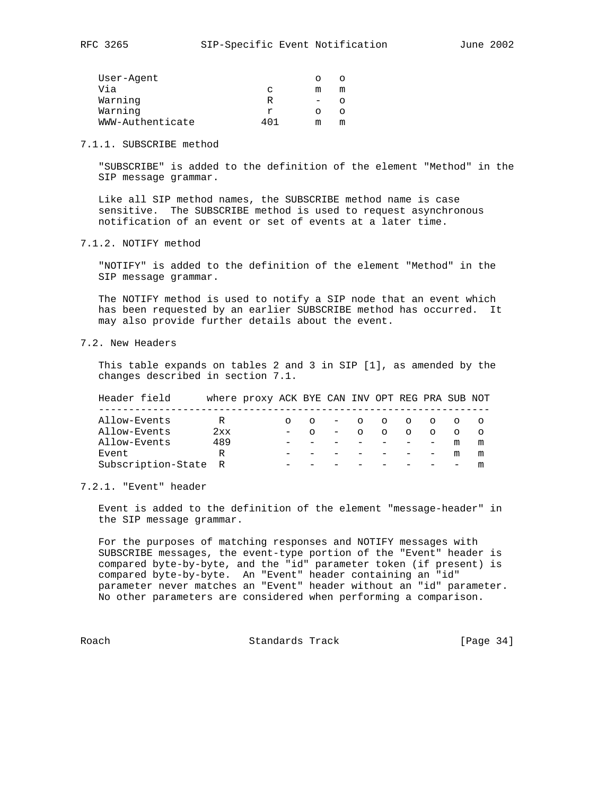| User-Agent       |       |   |  |
|------------------|-------|---|--|
| Via              | C     | m |  |
| Warning          | R     |   |  |
| Warning          |       |   |  |
| WWW-Authenticate | 4 N 1 | m |  |

7.1.1. SUBSCRIBE method

 "SUBSCRIBE" is added to the definition of the element "Method" in the SIP message grammar.

 Like all SIP method names, the SUBSCRIBE method name is case sensitive. The SUBSCRIBE method is used to request asynchronous notification of an event or set of events at a later time.

7.1.2. NOTIFY method

 "NOTIFY" is added to the definition of the element "Method" in the SIP message grammar.

 The NOTIFY method is used to notify a SIP node that an event which has been requested by an earlier SUBSCRIBE method has occurred. It may also provide further details about the event.

7.2. New Headers

 This table expands on tables 2 and 3 in SIP [1], as amended by the changes described in section 7.1.

 Header field where proxy ACK BYE CAN INV OPT REG PRA SUB NOT ----------------------------------------------------------------- Allow-Events R o o - o o o o o o Allow-Events 2xx - o - o o o o o o Allow-Events 489 - - - - - - - m m Event  $R$  - - - - - - m m Subscription-State R - - - - - - - - m

7.2.1. "Event" header

 Event is added to the definition of the element "message-header" in the SIP message grammar.

 For the purposes of matching responses and NOTIFY messages with SUBSCRIBE messages, the event-type portion of the "Event" header is compared byte-by-byte, and the "id" parameter token (if present) is compared byte-by-byte. An "Event" header containing an "id" parameter never matches an "Event" header without an "id" parameter. No other parameters are considered when performing a comparison.

Roach **Standards Track** [Page 34]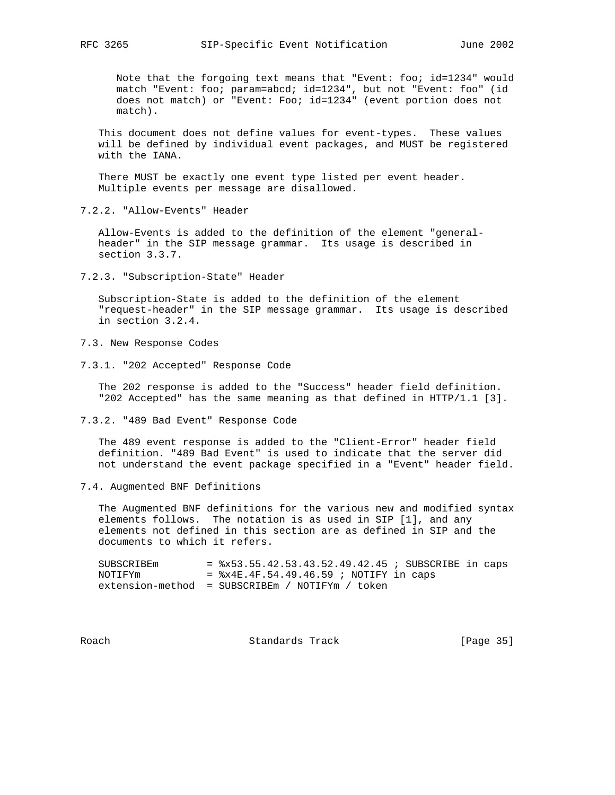Note that the forgoing text means that "Event: foo; id=1234" would match "Event: foo; param=abcd; id=1234", but not "Event: foo" (id does not match) or "Event: Foo; id=1234" (event portion does not match).

 This document does not define values for event-types. These values will be defined by individual event packages, and MUST be registered with the IANA.

 There MUST be exactly one event type listed per event header. Multiple events per message are disallowed.

7.2.2. "Allow-Events" Header

 Allow-Events is added to the definition of the element "general header" in the SIP message grammar. Its usage is described in section 3.3.7.

7.2.3. "Subscription-State" Header

 Subscription-State is added to the definition of the element "request-header" in the SIP message grammar. Its usage is described in section 3.2.4.

7.3. New Response Codes

7.3.1. "202 Accepted" Response Code

 The 202 response is added to the "Success" header field definition. "202 Accepted" has the same meaning as that defined in HTTP/1.1 [3].

7.3.2. "489 Bad Event" Response Code

 The 489 event response is added to the "Client-Error" header field definition. "489 Bad Event" is used to indicate that the server did not understand the event package specified in a "Event" header field.

7.4. Augmented BNF Definitions

 The Augmented BNF definitions for the various new and modified syntax elements follows. The notation is as used in SIP [1], and any elements not defined in this section are as defined in SIP and the documents to which it refers.

| SUBSCRIBEm | $=$ $x53.55.42.53.43.52.49.42.45$ ; SUBSCRIBE in caps |  |  |
|------------|-------------------------------------------------------|--|--|
| NOTIFYm    | = $8x4E.4F.54.49.46.59$ ; NOTIFY in caps              |  |  |
|            | $extension-method = SUBSCRIBEm / NOTIFYm / token$     |  |  |

Roach **Standards Track** [Page 35]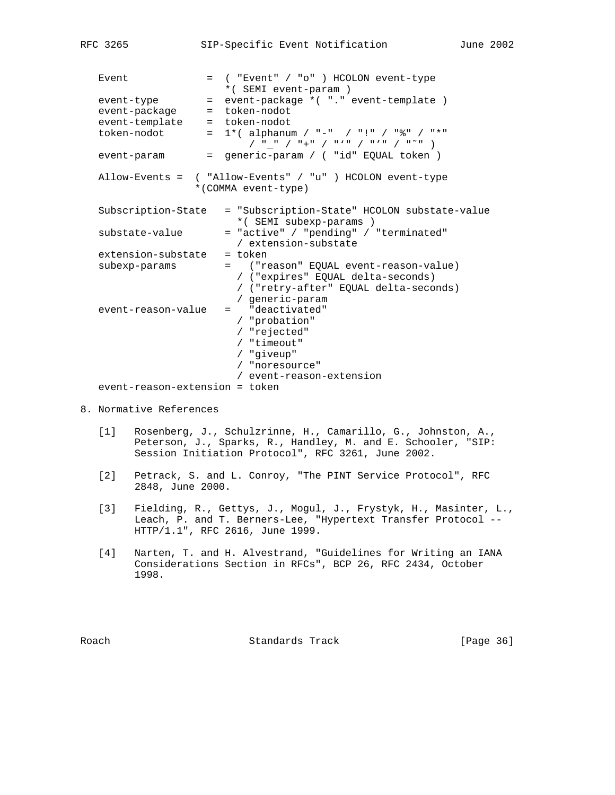| Event                          | = ( "Event" / "o" ) HCOLON event-type                                                                                                  |
|--------------------------------|----------------------------------------------------------------------------------------------------------------------------------------|
|                                | *(SEMI event-param)                                                                                                                    |
| event-type                     | event-package *( "." event-template )<br>$=$                                                                                           |
| event-package                  | = token-nodot                                                                                                                          |
| event-template                 | = token-nodot                                                                                                                          |
| token-nodot                    | 1* ( alphanum / "-" / "!" / "%" / "*"<br>$=$                                                                                           |
| event-param                    | = generic-param / ( "id" EQUAL token )                                                                                                 |
|                                | Allow-Events = ( "Allow-Events" / "u" ) HCOLON event-type<br>*(COMMA event-type)                                                       |
| Subscription-State             | = "Subscription-State" HCOLON substate-value<br>* (SEMI subexp-params)                                                                 |
| substate-value                 | = "active" / "pending" / "terminated"<br>/ extension-substate                                                                          |
| extension-substate             | $=$ token                                                                                                                              |
| subexp-params                  | = ("reason" EQUAL event-reason-value)<br>/ ("expires" EQUAL delta-seconds)<br>/ ("retry-after" EQUAL delta-seconds)<br>/ generic-param |
| event-reason-value             | $=$ "deactivated"<br>/ "probation"<br>/ "rejected"<br>/ "timeout"<br>/ "giveup"                                                        |
|                                | / "noresource"                                                                                                                         |
|                                | / event-reason-extension                                                                                                               |
| event-reason-extension = token |                                                                                                                                        |

RFC 3265 SIP-Specific Event Notification June 2002

- 8. Normative References
	- [1] Rosenberg, J., Schulzrinne, H., Camarillo, G., Johnston, A., Peterson, J., Sparks, R., Handley, M. and E. Schooler, "SIP: Session Initiation Protocol", RFC 3261, June 2002.
	- [2] Petrack, S. and L. Conroy, "The PINT Service Protocol", RFC 2848, June 2000.
	- [3] Fielding, R., Gettys, J., Mogul, J., Frystyk, H., Masinter, L., Leach, P. and T. Berners-Lee, "Hypertext Transfer Protocol -- HTTP/1.1", RFC 2616, June 1999.
	- [4] Narten, T. and H. Alvestrand, "Guidelines for Writing an IANA Considerations Section in RFCs", BCP 26, RFC 2434, October 1998.

Roach Standards Track [Page 36]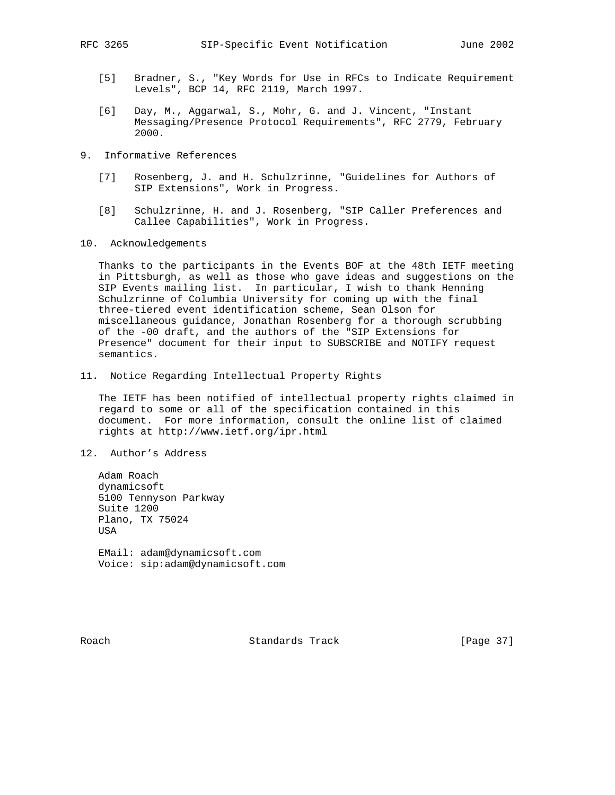- [5] Bradner, S., "Key Words for Use in RFCs to Indicate Requirement Levels", BCP 14, RFC 2119, March 1997.
- [6] Day, M., Aggarwal, S., Mohr, G. and J. Vincent, "Instant Messaging/Presence Protocol Requirements", RFC 2779, February 2000.
- 9. Informative References
	- [7] Rosenberg, J. and H. Schulzrinne, "Guidelines for Authors of SIP Extensions", Work in Progress.
	- [8] Schulzrinne, H. and J. Rosenberg, "SIP Caller Preferences and Callee Capabilities", Work in Progress.
- 10. Acknowledgements

 Thanks to the participants in the Events BOF at the 48th IETF meeting in Pittsburgh, as well as those who gave ideas and suggestions on the SIP Events mailing list. In particular, I wish to thank Henning Schulzrinne of Columbia University for coming up with the final three-tiered event identification scheme, Sean Olson for miscellaneous guidance, Jonathan Rosenberg for a thorough scrubbing of the -00 draft, and the authors of the "SIP Extensions for Presence" document for their input to SUBSCRIBE and NOTIFY request semantics.

11. Notice Regarding Intellectual Property Rights

 The IETF has been notified of intellectual property rights claimed in regard to some or all of the specification contained in this document. For more information, consult the online list of claimed rights at http://www.ietf.org/ipr.html

12. Author's Address

 Adam Roach dynamicsoft 5100 Tennyson Parkway Suite 1200 Plano, TX 75024 USA EMail: adam@dynamicsoft.com

Voice: sip:adam@dynamicsoft.com

Roach **Standards Track** [Page 37]